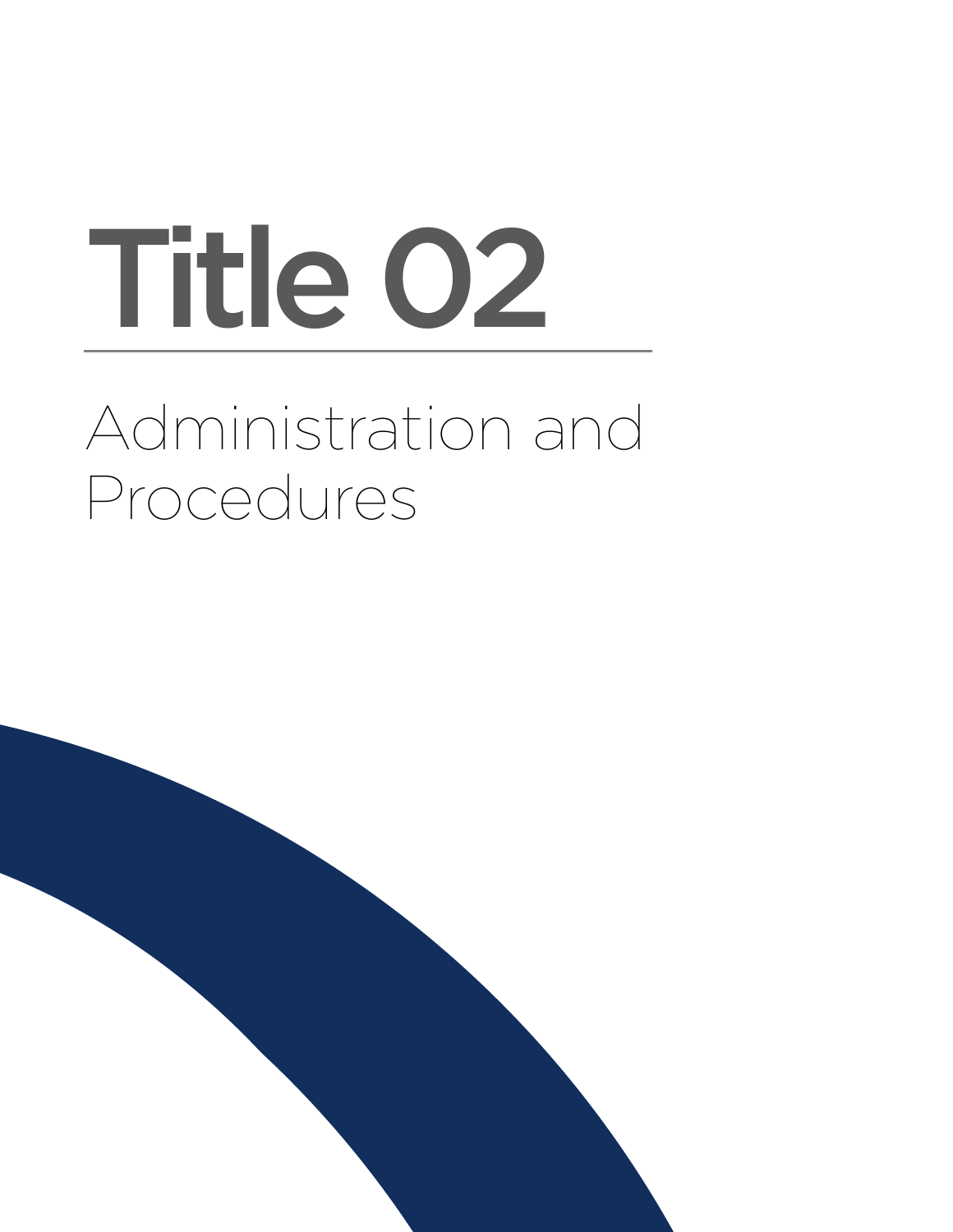# Administration and Procedures Title 02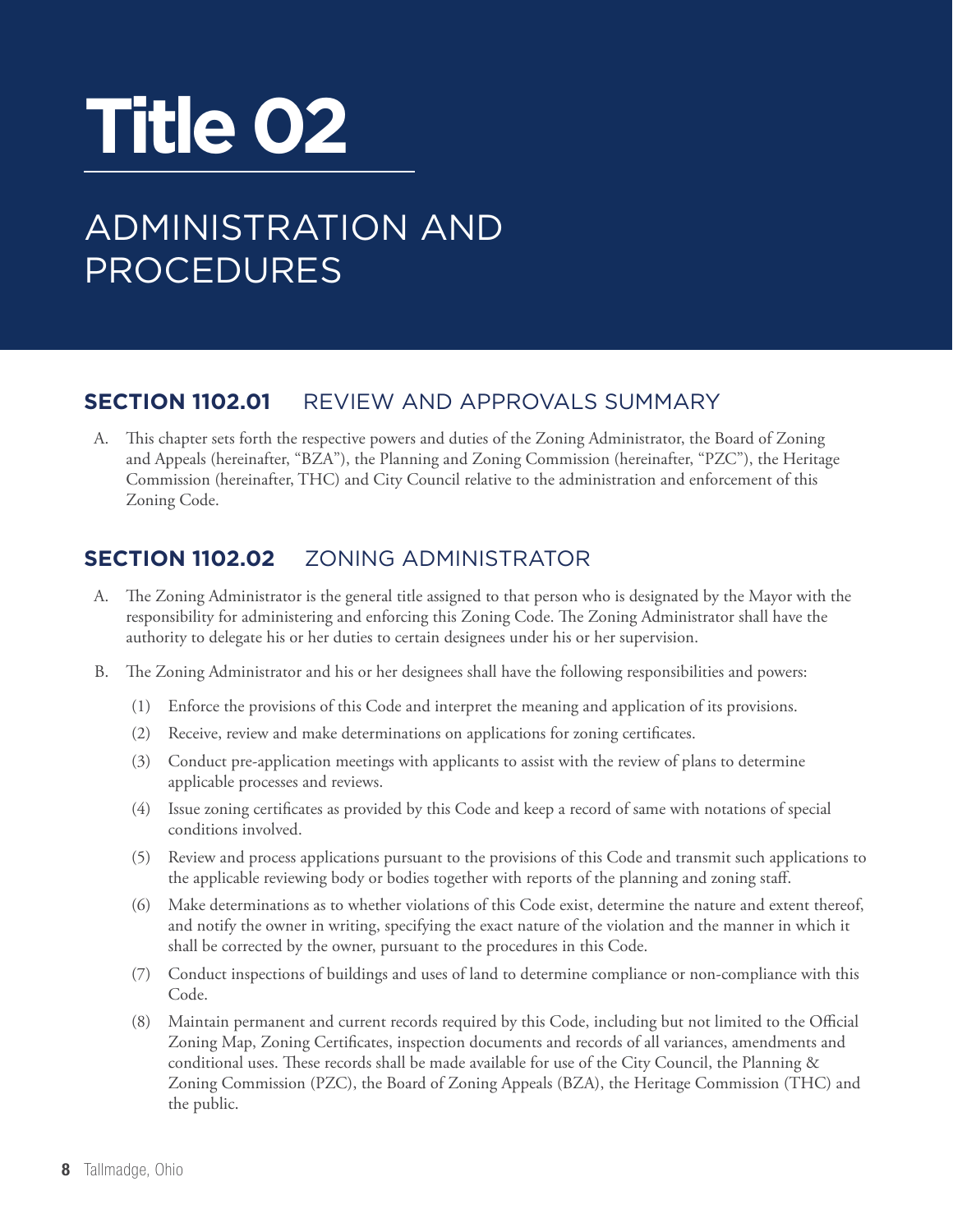## **Title 02**

### ADMINISTRATION AND PROCEDURES

#### **Section 1102.01** REVIEW AND APPROVALS SUMMARY

A. This chapter sets forth the respective powers and duties of the Zoning Administrator, the Board of Zoning and Appeals (hereinafter, "BZA"), the Planning and Zoning Commission (hereinafter, "PZC"), the Heritage Commission (hereinafter, THC) and City Council relative to the administration and enforcement of this Zoning Code.

#### **Section 1102.02** ZONING ADMINISTRATOR

- A. The Zoning Administrator is the general title assigned to that person who is designated by the Mayor with the responsibility for administering and enforcing this Zoning Code. The Zoning Administrator shall have the authority to delegate his or her duties to certain designees under his or her supervision.
- B. The Zoning Administrator and his or her designees shall have the following responsibilities and powers:
	- (1) Enforce the provisions of this Code and interpret the meaning and application of its provisions.
	- (2) Receive, review and make determinations on applications for zoning certificates.
	- (3) Conduct pre-application meetings with applicants to assist with the review of plans to determine applicable processes and reviews.
	- (4) Issue zoning certificates as provided by this Code and keep a record of same with notations of special conditions involved.
	- (5) Review and process applications pursuant to the provisions of this Code and transmit such applications to the applicable reviewing body or bodies together with reports of the planning and zoning staff.
	- (6) Make determinations as to whether violations of this Code exist, determine the nature and extent thereof, and notify the owner in writing, specifying the exact nature of the violation and the manner in which it shall be corrected by the owner, pursuant to the procedures in this Code.
	- (7) Conduct inspections of buildings and uses of land to determine compliance or non-compliance with this Code.
	- (8) Maintain permanent and current records required by this Code, including but not limited to the Official Zoning Map, Zoning Certificates, inspection documents and records of all variances, amendments and conditional uses. These records shall be made available for use of the City Council, the Planning & Zoning Commission (PZC), the Board of Zoning Appeals (BZA), the Heritage Commission (THC) and the public.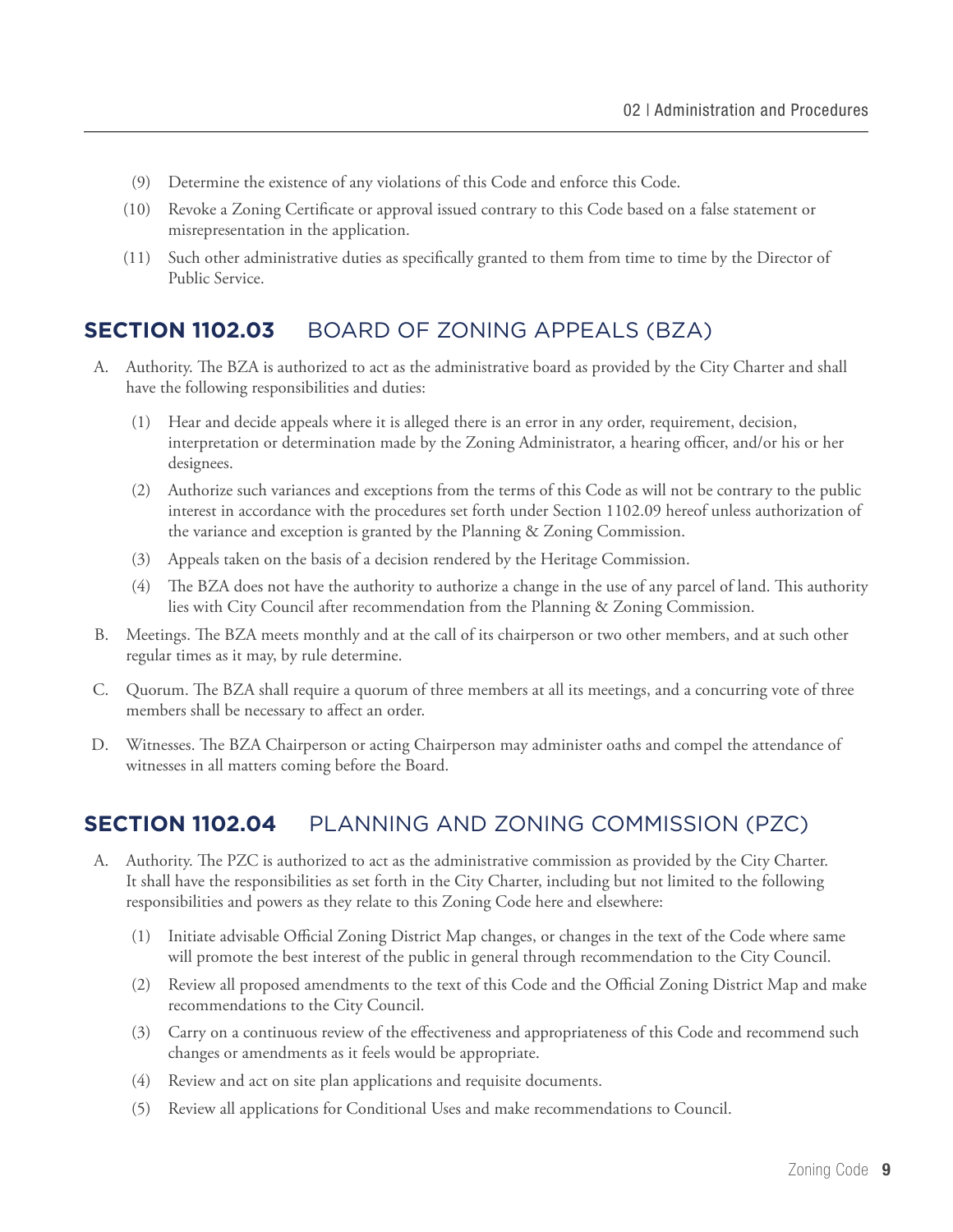- (9) Determine the existence of any violations of this Code and enforce this Code.
- (10) Revoke a Zoning Certificate or approval issued contrary to this Code based on a false statement or misrepresentation in the application.
- (11) Such other administrative duties as specifically granted to them from time to time by the Director of Public Service.

#### **Section 1102.03** BOARD OF ZONING APPEALS (BZA)

- A. Authority. The BZA is authorized to act as the administrative board as provided by the City Charter and shall have the following responsibilities and duties:
	- (1) Hear and decide appeals where it is alleged there is an error in any order, requirement, decision, interpretation or determination made by the Zoning Administrator, a hearing officer, and/or his or her designees.
	- (2) Authorize such variances and exceptions from the terms of this Code as will not be contrary to the public interest in accordance with the procedures set forth under Section 1102.09 hereof unless authorization of the variance and exception is granted by the Planning & Zoning Commission.
	- (3) Appeals taken on the basis of a decision rendered by the Heritage Commission.
	- (4) The BZA does not have the authority to authorize a change in the use of any parcel of land. This authority lies with City Council after recommendation from the Planning & Zoning Commission.
- B. Meetings. The BZA meets monthly and at the call of its chairperson or two other members, and at such other regular times as it may, by rule determine.
- C. Quorum. The BZA shall require a quorum of three members at all its meetings, and a concurring vote of three members shall be necessary to affect an order.
- D. Witnesses. The BZA Chairperson or acting Chairperson may administer oaths and compel the attendance of witnesses in all matters coming before the Board.

#### **Section 1102.04** PLANNING AND ZONING COMMISSION (PZC)

- A. Authority. The PZC is authorized to act as the administrative commission as provided by the City Charter. It shall have the responsibilities as set forth in the City Charter, including but not limited to the following responsibilities and powers as they relate to this Zoning Code here and elsewhere:
	- (1) Initiate advisable Official Zoning District Map changes, or changes in the text of the Code where same will promote the best interest of the public in general through recommendation to the City Council.
	- (2) Review all proposed amendments to the text of this Code and the Official Zoning District Map and make recommendations to the City Council.
	- (3) Carry on a continuous review of the effectiveness and appropriateness of this Code and recommend such changes or amendments as it feels would be appropriate.
	- (4) Review and act on site plan applications and requisite documents.
	- (5) Review all applications for Conditional Uses and make recommendations to Council.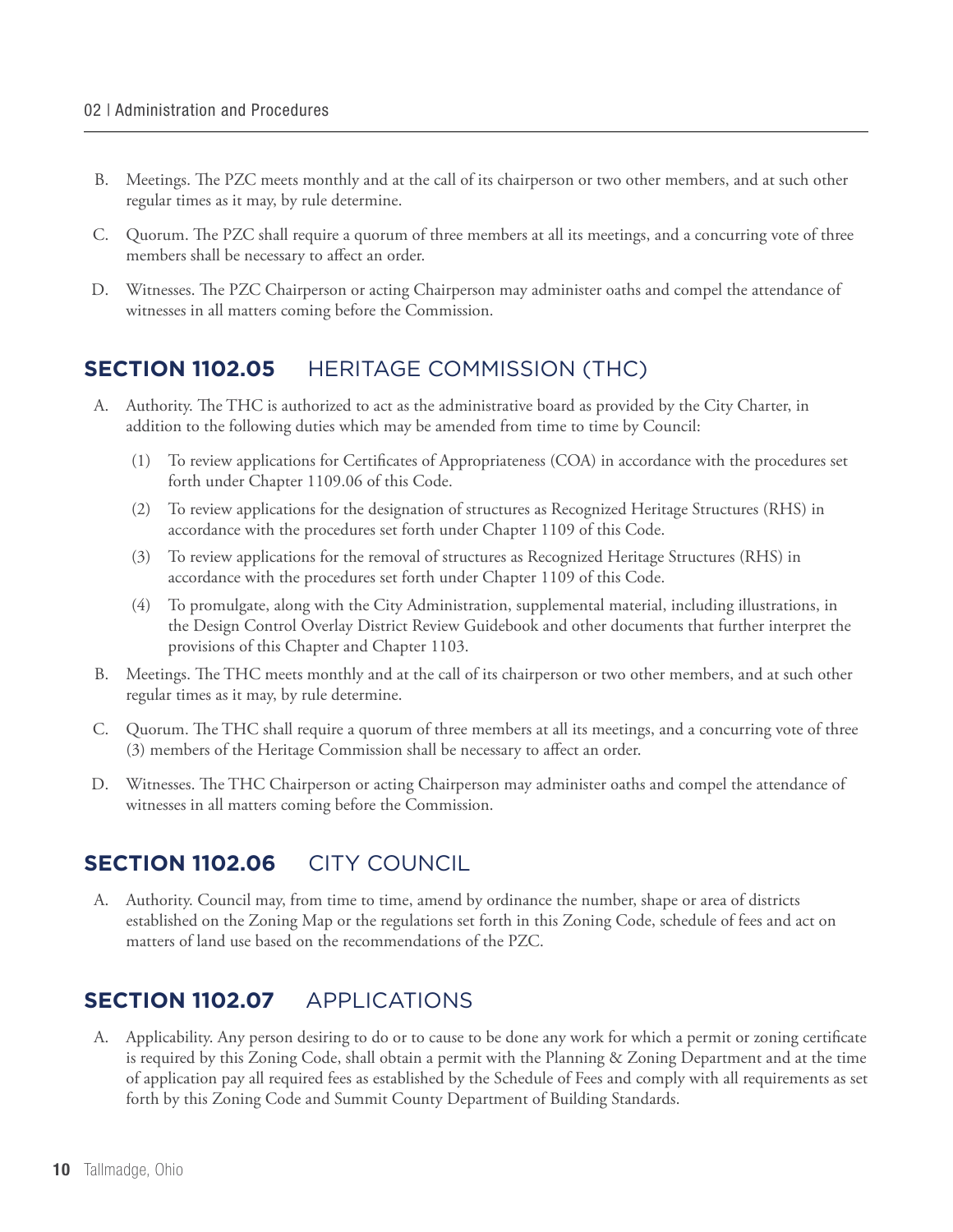- B. Meetings. The PZC meets monthly and at the call of its chairperson or two other members, and at such other regular times as it may, by rule determine.
- C. Quorum. The PZC shall require a quorum of three members at all its meetings, and a concurring vote of three members shall be necessary to affect an order.
- D. Witnesses. The PZC Chairperson or acting Chairperson may administer oaths and compel the attendance of witnesses in all matters coming before the Commission.

#### **Section 1102.05** HERITAGE COMMISSION (THC)

- A. Authority. The THC is authorized to act as the administrative board as provided by the City Charter, in addition to the following duties which may be amended from time to time by Council:
	- (1) To review applications for Certificates of Appropriateness (COA) in accordance with the procedures set forth under Chapter 1109.06 of this Code.
	- (2) To review applications for the designation of structures as Recognized Heritage Structures (RHS) in accordance with the procedures set forth under Chapter 1109 of this Code.
	- (3) To review applications for the removal of structures as Recognized Heritage Structures (RHS) in accordance with the procedures set forth under Chapter 1109 of this Code.
	- (4) To promulgate, along with the City Administration, supplemental material, including illustrations, in the Design Control Overlay District Review Guidebook and other documents that further interpret the provisions of this Chapter and Chapter 1103.
- B. Meetings. The THC meets monthly and at the call of its chairperson or two other members, and at such other regular times as it may, by rule determine.
- C. Quorum. The THC shall require a quorum of three members at all its meetings, and a concurring vote of three (3) members of the Heritage Commission shall be necessary to affect an order.
- D. Witnesses. The THC Chairperson or acting Chairperson may administer oaths and compel the attendance of witnesses in all matters coming before the Commission.

#### **SECTION 1102.06 CITY COUNCIL**

A. Authority. Council may, from time to time, amend by ordinance the number, shape or area of districts established on the Zoning Map or the regulations set forth in this Zoning Code, schedule of fees and act on matters of land use based on the recommendations of the PZC.

#### **Section 1102.07** APPLICATIONS

A. Applicability. Any person desiring to do or to cause to be done any work for which a permit or zoning certificate is required by this Zoning Code, shall obtain a permit with the Planning & Zoning Department and at the time of application pay all required fees as established by the Schedule of Fees and comply with all requirements as set forth by this Zoning Code and Summit County Department of Building Standards.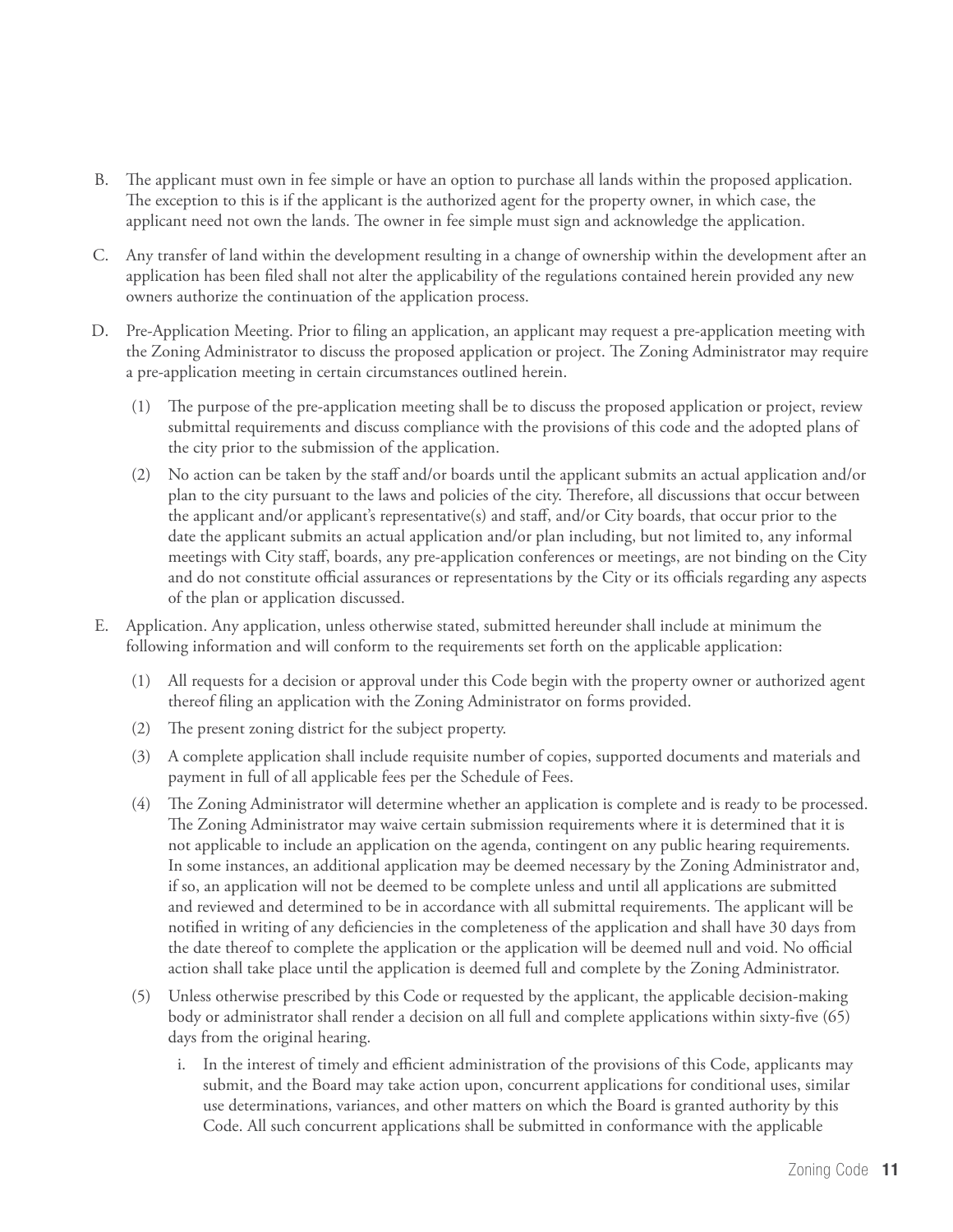- B. The applicant must own in fee simple or have an option to purchase all lands within the proposed application. The exception to this is if the applicant is the authorized agent for the property owner, in which case, the applicant need not own the lands. The owner in fee simple must sign and acknowledge the application.
- C. Any transfer of land within the development resulting in a change of ownership within the development after an application has been filed shall not alter the applicability of the regulations contained herein provided any new owners authorize the continuation of the application process.
- D. Pre-Application Meeting. Prior to filing an application, an applicant may request a pre-application meeting with the Zoning Administrator to discuss the proposed application or project. The Zoning Administrator may require a pre-application meeting in certain circumstances outlined herein.
	- (1) The purpose of the pre-application meeting shall be to discuss the proposed application or project, review submittal requirements and discuss compliance with the provisions of this code and the adopted plans of the city prior to the submission of the application.
	- (2) No action can be taken by the staff and/or boards until the applicant submits an actual application and/or plan to the city pursuant to the laws and policies of the city. Therefore, all discussions that occur between the applicant and/or applicant's representative(s) and staff, and/or City boards, that occur prior to the date the applicant submits an actual application and/or plan including, but not limited to, any informal meetings with City staff, boards, any pre-application conferences or meetings, are not binding on the City and do not constitute official assurances or representations by the City or its officials regarding any aspects of the plan or application discussed.
- E. Application. Any application, unless otherwise stated, submitted hereunder shall include at minimum the following information and will conform to the requirements set forth on the applicable application:
	- (1) All requests for a decision or approval under this Code begin with the property owner or authorized agent thereof filing an application with the Zoning Administrator on forms provided.
	- (2) The present zoning district for the subject property.
	- (3) A complete application shall include requisite number of copies, supported documents and materials and payment in full of all applicable fees per the Schedule of Fees.
	- (4) The Zoning Administrator will determine whether an application is complete and is ready to be processed. The Zoning Administrator may waive certain submission requirements where it is determined that it is not applicable to include an application on the agenda, contingent on any public hearing requirements. In some instances, an additional application may be deemed necessary by the Zoning Administrator and, if so, an application will not be deemed to be complete unless and until all applications are submitted and reviewed and determined to be in accordance with all submittal requirements. The applicant will be notified in writing of any deficiencies in the completeness of the application and shall have 30 days from the date thereof to complete the application or the application will be deemed null and void. No official action shall take place until the application is deemed full and complete by the Zoning Administrator.
	- (5) Unless otherwise prescribed by this Code or requested by the applicant, the applicable decision-making body or administrator shall render a decision on all full and complete applications within sixty-five (65) days from the original hearing.
		- i. In the interest of timely and efficient administration of the provisions of this Code, applicants may submit, and the Board may take action upon, concurrent applications for conditional uses, similar use determinations, variances, and other matters on which the Board is granted authority by this Code. All such concurrent applications shall be submitted in conformance with the applicable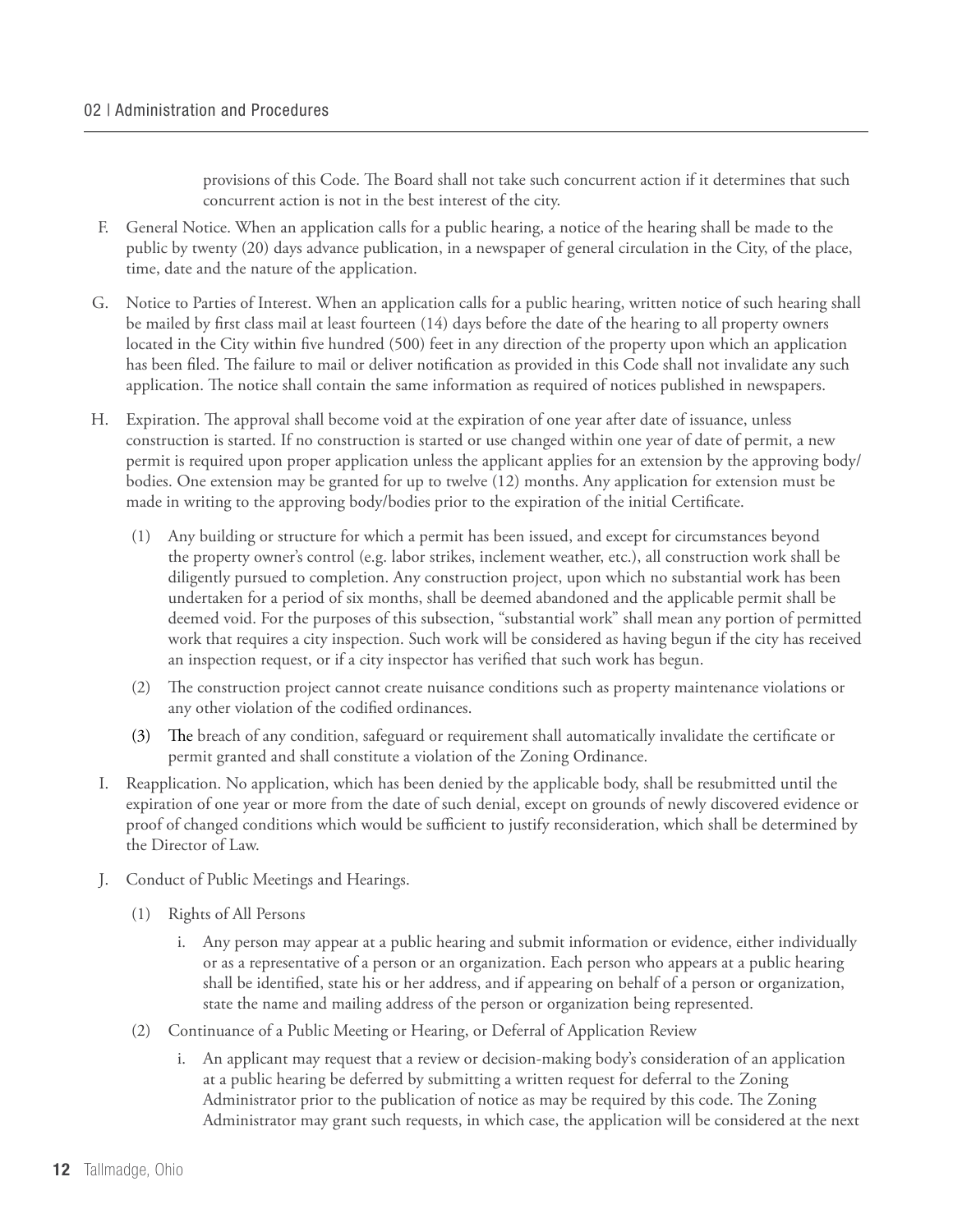provisions of this Code. The Board shall not take such concurrent action if it determines that such concurrent action is not in the best interest of the city.

- F. General Notice. When an application calls for a public hearing, a notice of the hearing shall be made to the public by twenty (20) days advance publication, in a newspaper of general circulation in the City, of the place, time, date and the nature of the application.
- G. Notice to Parties of Interest. When an application calls for a public hearing, written notice of such hearing shall be mailed by first class mail at least fourteen (14) days before the date of the hearing to all property owners located in the City within five hundred (500) feet in any direction of the property upon which an application has been filed. The failure to mail or deliver notification as provided in this Code shall not invalidate any such application. The notice shall contain the same information as required of notices published in newspapers.
- H. Expiration. The approval shall become void at the expiration of one year after date of issuance, unless construction is started. If no construction is started or use changed within one year of date of permit, a new permit is required upon proper application unless the applicant applies for an extension by the approving body/ bodies. One extension may be granted for up to twelve (12) months. Any application for extension must be made in writing to the approving body/bodies prior to the expiration of the initial Certificate.
	- (1) Any building or structure for which a permit has been issued, and except for circumstances beyond the property owner's control (e.g. labor strikes, inclement weather, etc.), all construction work shall be diligently pursued to completion. Any construction project, upon which no substantial work has been undertaken for a period of six months, shall be deemed abandoned and the applicable permit shall be deemed void. For the purposes of this subsection, "substantial work" shall mean any portion of permitted work that requires a city inspection. Such work will be considered as having begun if the city has received an inspection request, or if a city inspector has verified that such work has begun.
	- (2) The construction project cannot create nuisance conditions such as property maintenance violations or any other violation of the codified ordinances.
	- (3) The breach of any condition, safeguard or requirement shall automatically invalidate the certificate or permit granted and shall constitute a violation of the Zoning Ordinance.
- I. Reapplication. No application, which has been denied by the applicable body, shall be resubmitted until the expiration of one year or more from the date of such denial, except on grounds of newly discovered evidence or proof of changed conditions which would be sufficient to justify reconsideration, which shall be determined by the Director of Law.
- J. Conduct of Public Meetings and Hearings.
	- (1) Rights of All Persons
		- i. Any person may appear at a public hearing and submit information or evidence, either individually or as a representative of a person or an organization. Each person who appears at a public hearing shall be identified, state his or her address, and if appearing on behalf of a person or organization, state the name and mailing address of the person or organization being represented.
	- (2) Continuance of a Public Meeting or Hearing, or Deferral of Application Review
		- i. An applicant may request that a review or decision-making body's consideration of an application at a public hearing be deferred by submitting a written request for deferral to the Zoning Administrator prior to the publication of notice as may be required by this code. The Zoning Administrator may grant such requests, in which case, the application will be considered at the next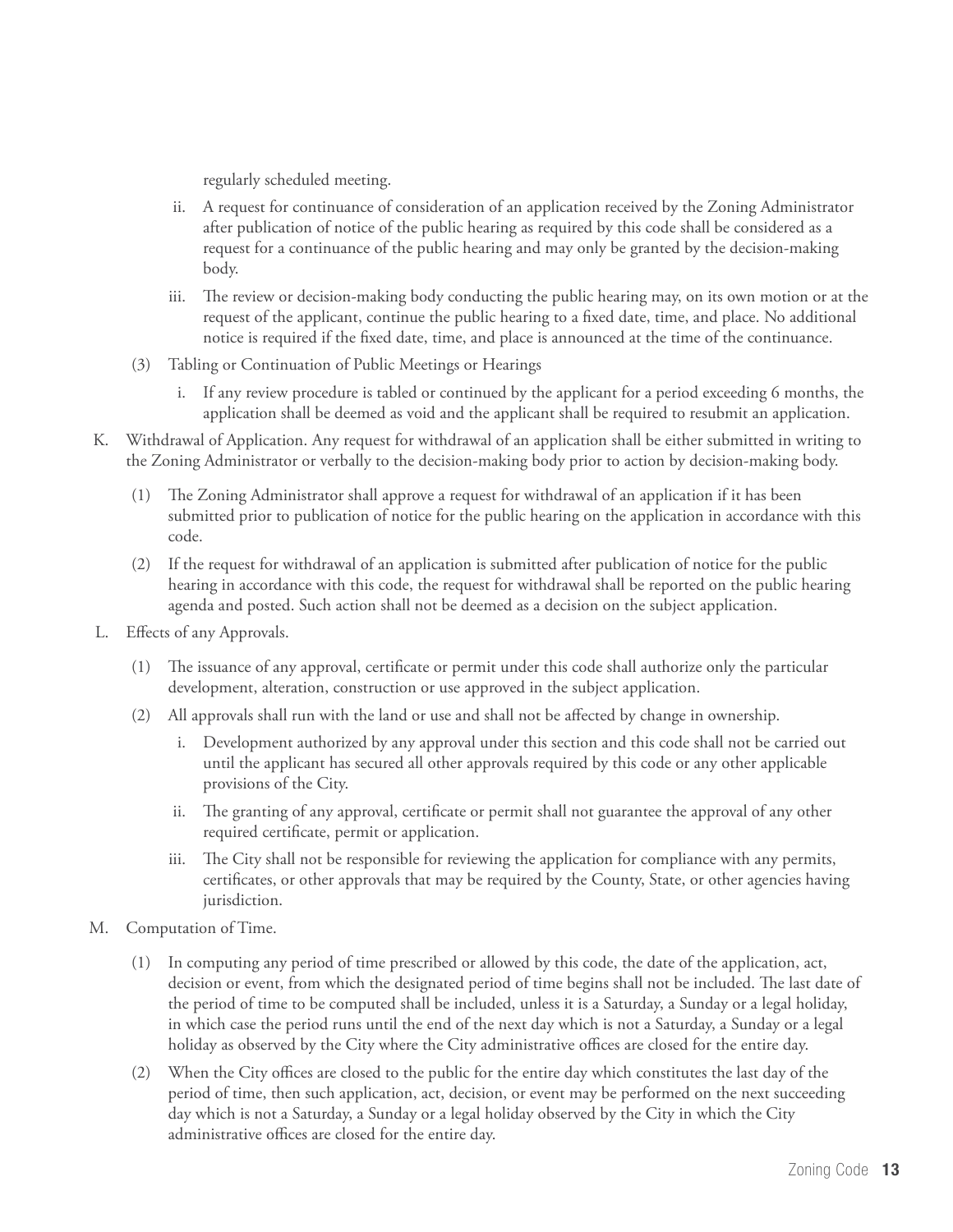regularly scheduled meeting.

- ii. A request for continuance of consideration of an application received by the Zoning Administrator after publication of notice of the public hearing as required by this code shall be considered as a request for a continuance of the public hearing and may only be granted by the decision-making body.
- iii. The review or decision-making body conducting the public hearing may, on its own motion or at the request of the applicant, continue the public hearing to a fixed date, time, and place. No additional notice is required if the fixed date, time, and place is announced at the time of the continuance.
- (3) Tabling or Continuation of Public Meetings or Hearings
	- i. If any review procedure is tabled or continued by the applicant for a period exceeding 6 months, the application shall be deemed as void and the applicant shall be required to resubmit an application.
- K. Withdrawal of Application. Any request for withdrawal of an application shall be either submitted in writing to the Zoning Administrator or verbally to the decision-making body prior to action by decision-making body.
	- (1) The Zoning Administrator shall approve a request for withdrawal of an application if it has been submitted prior to publication of notice for the public hearing on the application in accordance with this code.
	- (2) If the request for withdrawal of an application is submitted after publication of notice for the public hearing in accordance with this code, the request for withdrawal shall be reported on the public hearing agenda and posted. Such action shall not be deemed as a decision on the subject application.
- L. Effects of any Approvals.
	- (1) The issuance of any approval, certificate or permit under this code shall authorize only the particular development, alteration, construction or use approved in the subject application.
	- (2) All approvals shall run with the land or use and shall not be affected by change in ownership.
		- i. Development authorized by any approval under this section and this code shall not be carried out until the applicant has secured all other approvals required by this code or any other applicable provisions of the City.
		- ii. The granting of any approval, certificate or permit shall not guarantee the approval of any other required certificate, permit or application.
		- iii. The City shall not be responsible for reviewing the application for compliance with any permits, certificates, or other approvals that may be required by the County, State, or other agencies having jurisdiction.
- M. Computation of Time.
	- (1) In computing any period of time prescribed or allowed by this code, the date of the application, act, decision or event, from which the designated period of time begins shall not be included. The last date of the period of time to be computed shall be included, unless it is a Saturday, a Sunday or a legal holiday, in which case the period runs until the end of the next day which is not a Saturday, a Sunday or a legal holiday as observed by the City where the City administrative offices are closed for the entire day.
	- (2) When the City offices are closed to the public for the entire day which constitutes the last day of the period of time, then such application, act, decision, or event may be performed on the next succeeding day which is not a Saturday, a Sunday or a legal holiday observed by the City in which the City administrative offices are closed for the entire day.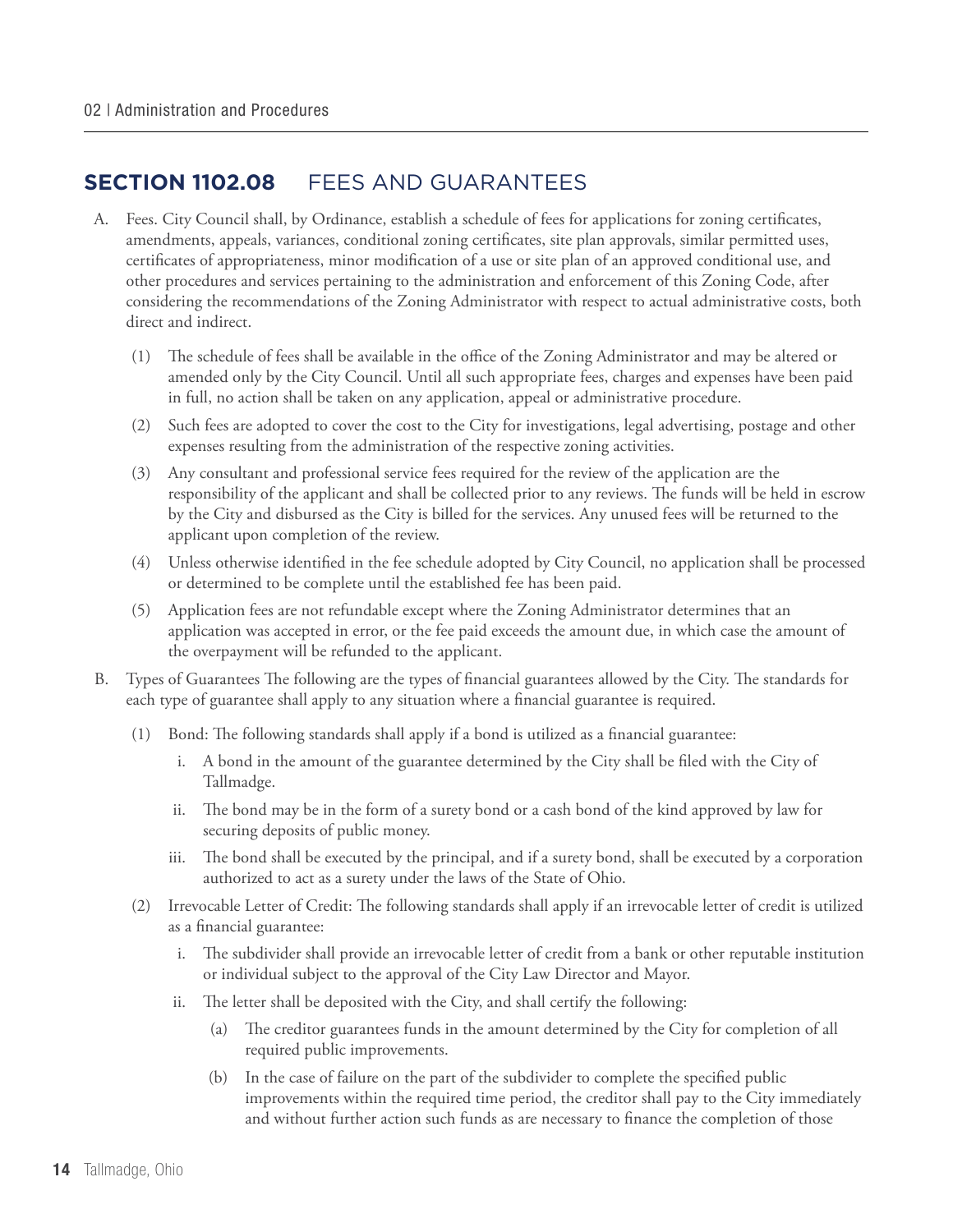#### **Section 1102.08** FEES AND GUARANTEES

- A. Fees. City Council shall, by Ordinance, establish a schedule of fees for applications for zoning certificates, amendments, appeals, variances, conditional zoning certificates, site plan approvals, similar permitted uses, certificates of appropriateness, minor modification of a use or site plan of an approved conditional use, and other procedures and services pertaining to the administration and enforcement of this Zoning Code, after considering the recommendations of the Zoning Administrator with respect to actual administrative costs, both direct and indirect.
	- (1) The schedule of fees shall be available in the office of the Zoning Administrator and may be altered or amended only by the City Council. Until all such appropriate fees, charges and expenses have been paid in full, no action shall be taken on any application, appeal or administrative procedure.
	- (2) Such fees are adopted to cover the cost to the City for investigations, legal advertising, postage and other expenses resulting from the administration of the respective zoning activities.
	- (3) Any consultant and professional service fees required for the review of the application are the responsibility of the applicant and shall be collected prior to any reviews. The funds will be held in escrow by the City and disbursed as the City is billed for the services. Any unused fees will be returned to the applicant upon completion of the review.
	- (4) Unless otherwise identified in the fee schedule adopted by City Council, no application shall be processed or determined to be complete until the established fee has been paid.
	- (5) Application fees are not refundable except where the Zoning Administrator determines that an application was accepted in error, or the fee paid exceeds the amount due, in which case the amount of the overpayment will be refunded to the applicant.
- B. Types of Guarantees The following are the types of financial guarantees allowed by the City. The standards for each type of guarantee shall apply to any situation where a financial guarantee is required.
	- (1) Bond: The following standards shall apply if a bond is utilized as a financial guarantee:
		- i. A bond in the amount of the guarantee determined by the City shall be filed with the City of Tallmadge.
		- ii. The bond may be in the form of a surety bond or a cash bond of the kind approved by law for securing deposits of public money.
		- iii. The bond shall be executed by the principal, and if a surety bond, shall be executed by a corporation authorized to act as a surety under the laws of the State of Ohio.
	- (2) Irrevocable Letter of Credit: The following standards shall apply if an irrevocable letter of credit is utilized as a financial guarantee:
		- i. The subdivider shall provide an irrevocable letter of credit from a bank or other reputable institution or individual subject to the approval of the City Law Director and Mayor.
		- ii. The letter shall be deposited with the City, and shall certify the following:
			- (a) The creditor guarantees funds in the amount determined by the City for completion of all required public improvements.
			- (b) In the case of failure on the part of the subdivider to complete the specified public improvements within the required time period, the creditor shall pay to the City immediately and without further action such funds as are necessary to finance the completion of those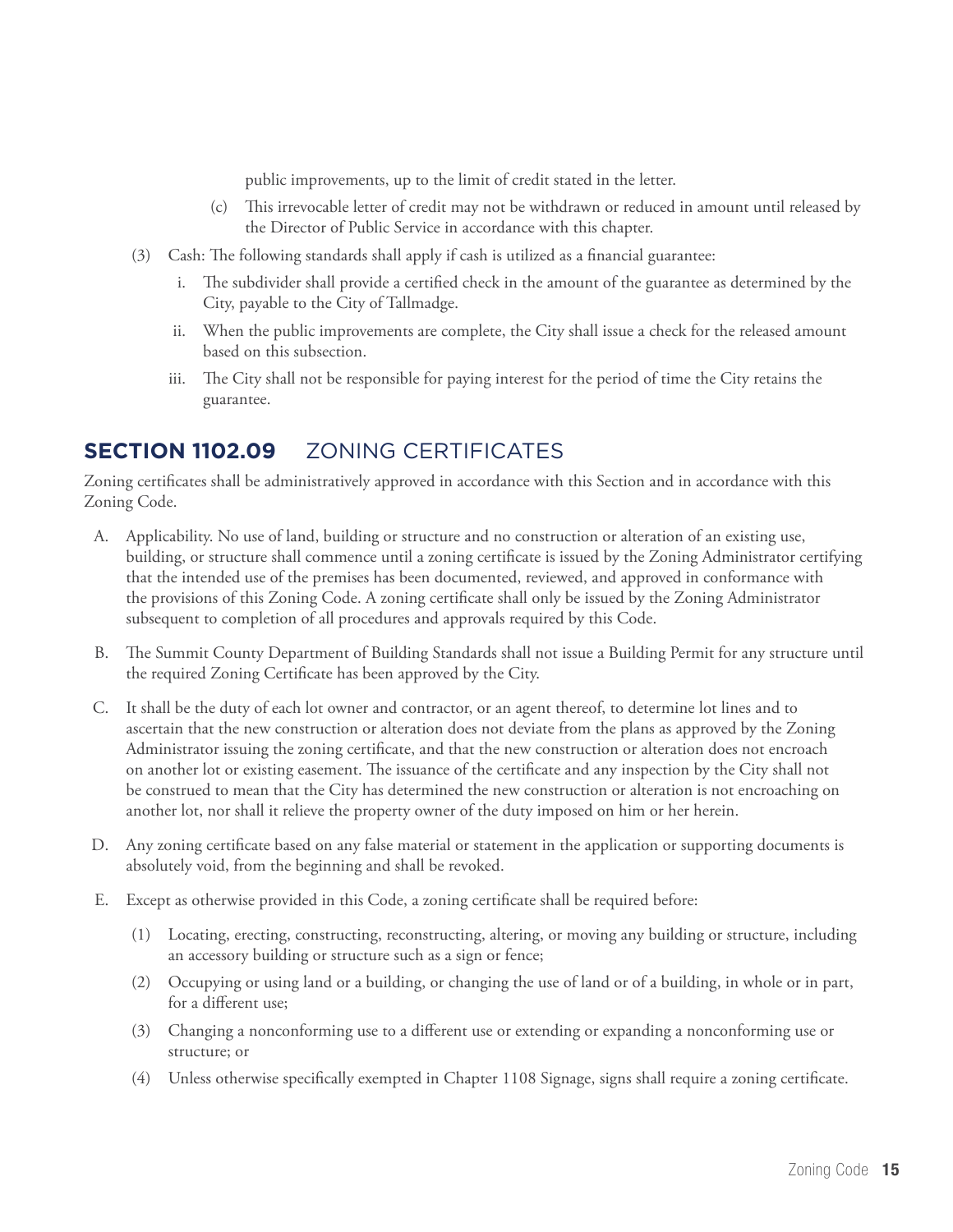public improvements, up to the limit of credit stated in the letter.

- (c) This irrevocable letter of credit may not be withdrawn or reduced in amount until released by the Director of Public Service in accordance with this chapter.
- (3) Cash: The following standards shall apply if cash is utilized as a financial guarantee:
	- i. The subdivider shall provide a certified check in the amount of the guarantee as determined by the City, payable to the City of Tallmadge.
	- ii. When the public improvements are complete, the City shall issue a check for the released amount based on this subsection.
	- iii. The City shall not be responsible for paying interest for the period of time the City retains the guarantee.

#### **Section 1102.09** ZONING CERTIFICATES

Zoning certificates shall be administratively approved in accordance with this Section and in accordance with this Zoning Code.

- A. Applicability. No use of land, building or structure and no construction or alteration of an existing use, building, or structure shall commence until a zoning certificate is issued by the Zoning Administrator certifying that the intended use of the premises has been documented, reviewed, and approved in conformance with the provisions of this Zoning Code. A zoning certificate shall only be issued by the Zoning Administrator subsequent to completion of all procedures and approvals required by this Code.
- B. The Summit County Department of Building Standards shall not issue a Building Permit for any structure until the required Zoning Certificate has been approved by the City.
- C. It shall be the duty of each lot owner and contractor, or an agent thereof, to determine lot lines and to ascertain that the new construction or alteration does not deviate from the plans as approved by the Zoning Administrator issuing the zoning certificate, and that the new construction or alteration does not encroach on another lot or existing easement. The issuance of the certificate and any inspection by the City shall not be construed to mean that the City has determined the new construction or alteration is not encroaching on another lot, nor shall it relieve the property owner of the duty imposed on him or her herein.
- D. Any zoning certificate based on any false material or statement in the application or supporting documents is absolutely void, from the beginning and shall be revoked.
- E. Except as otherwise provided in this Code, a zoning certificate shall be required before:
	- (1) Locating, erecting, constructing, reconstructing, altering, or moving any building or structure, including an accessory building or structure such as a sign or fence;
	- (2) Occupying or using land or a building, or changing the use of land or of a building, in whole or in part, for a different use;
	- (3) Changing a nonconforming use to a different use or extending or expanding a nonconforming use or structure; or
	- (4) Unless otherwise specifically exempted in Chapter 1108 Signage, signs shall require a zoning certificate.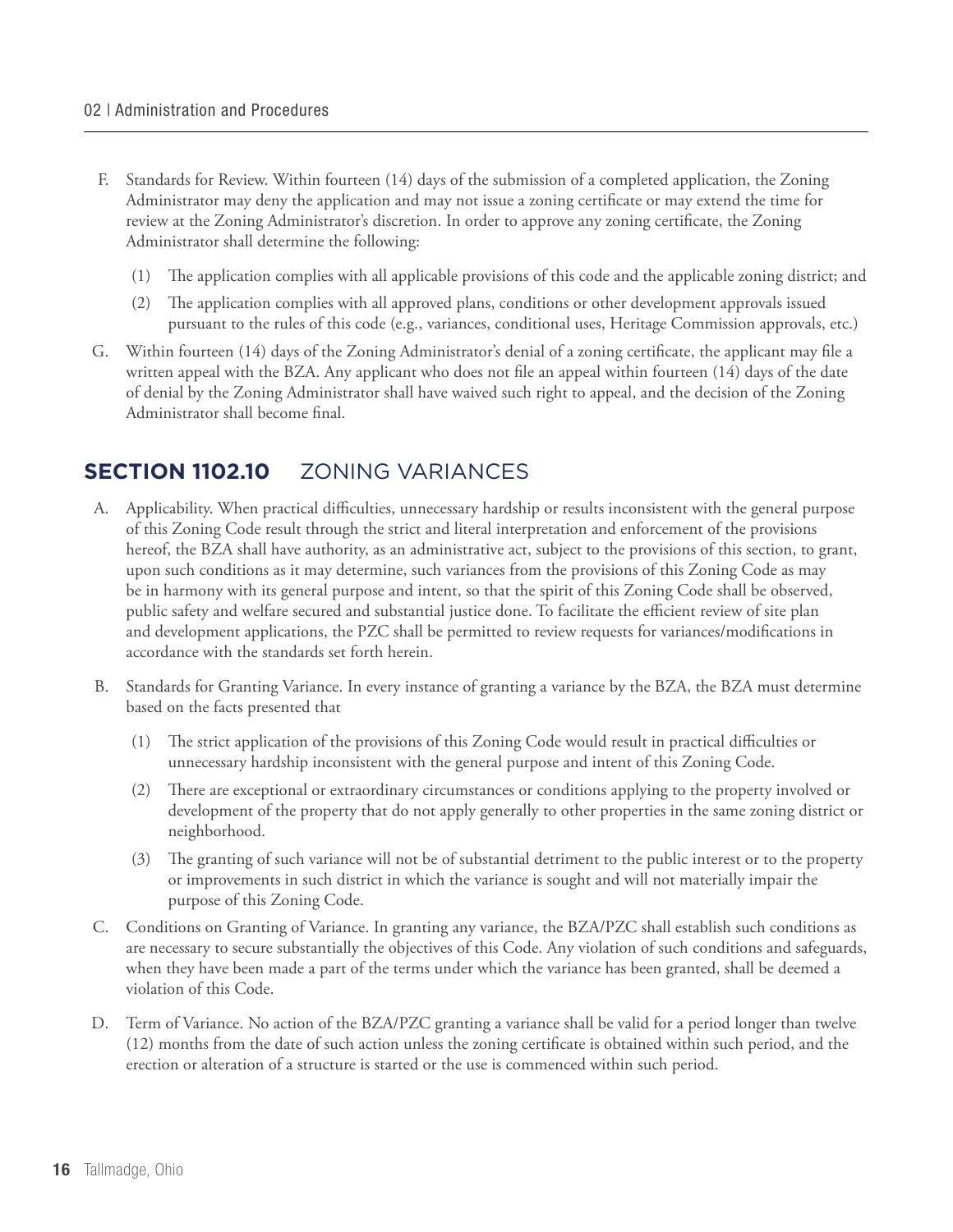- F. Standards for Review. Within fourteen (14) days of the submission of a completed application, the Zoning Administrator may deny the application and may not issue a zoning certificate or may extend the time for review at the Zoning Administrator's discretion. In order to approve any zoning certificate, the Zoning Administrator shall determine the following:
	- (1) The application complies with all applicable provisions of this code and the applicable zoning district; and
	- (2) The application complies with all approved plans, conditions or other development approvals issued pursuant to the rules of this code (e.g., variances, conditional uses, Heritage Commission approvals, etc.)
- G. Within fourteen (14) days of the Zoning Administrator's denial of a zoning certificate, the applicant may file a written appeal with the BZA. Any applicant who does not file an appeal within fourteen (14) days of the date of denial by the Zoning Administrator shall have waived such right to appeal, and the decision of the Zoning Administrator shall become final.

#### **Section 1102.10** ZONING VARIANCES

- A. Applicability. When practical difficulties, unnecessary hardship or results inconsistent with the general purpose of this Zoning Code result through the strict and literal interpretation and enforcement of the provisions hereof, the BZA shall have authority, as an administrative act, subject to the provisions of this section, to grant, upon such conditions as it may determine, such variances from the provisions of this Zoning Code as may be in harmony with its general purpose and intent, so that the spirit of this Zoning Code shall be observed, public safety and welfare secured and substantial justice done. To facilitate the efficient review of site plan and development applications, the PZC shall be permitted to review requests for variances/modifications in accordance with the standards set forth herein.
- B. Standards for Granting Variance. In every instance of granting a variance by the BZA, the BZA must determine based on the facts presented that
	- (1) The strict application of the provisions of this Zoning Code would result in practical difficulties or unnecessary hardship inconsistent with the general purpose and intent of this Zoning Code.
	- (2) There are exceptional or extraordinary circumstances or conditions applying to the property involved or development of the property that do not apply generally to other properties in the same zoning district or neighborhood.
	- (3) The granting of such variance will not be of substantial detriment to the public interest or to the property or improvements in such district in which the variance is sought and will not materially impair the purpose of this Zoning Code.
- C. Conditions on Granting of Variance. In granting any variance, the BZA/PZC shall establish such conditions as are necessary to secure substantially the objectives of this Code. Any violation of such conditions and safeguards, when they have been made a part of the terms under which the variance has been granted, shall be deemed a violation of this Code.
- D. Term of Variance. No action of the BZA/PZC granting a variance shall be valid for a period longer than twelve (12) months from the date of such action unless the zoning certificate is obtained within such period, and the erection or alteration of a structure is started or the use is commenced within such period.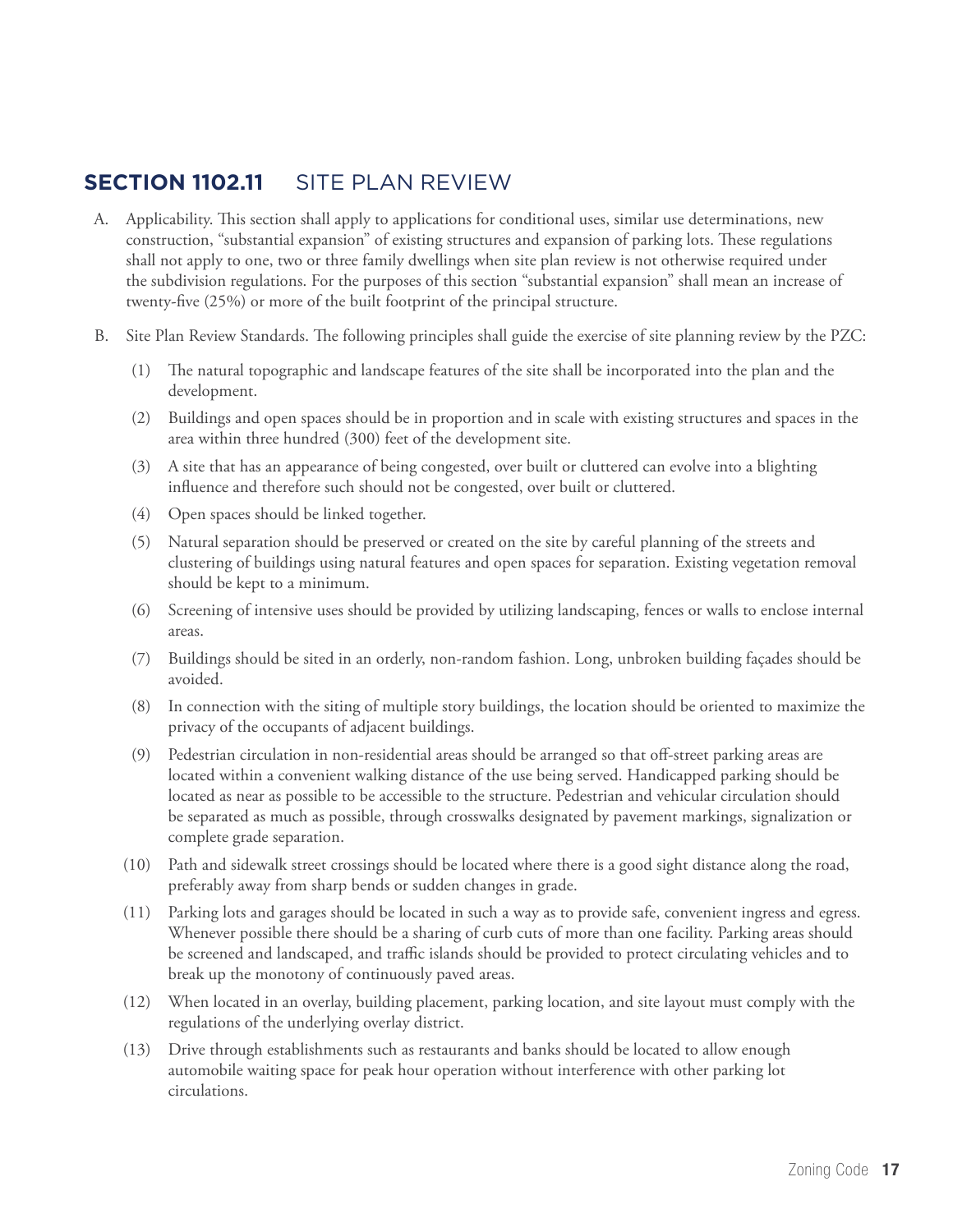#### **Section 1102.11** SITE PLAN REVIEW

- A. Applicability. This section shall apply to applications for conditional uses, similar use determinations, new construction, "substantial expansion" of existing structures and expansion of parking lots. These regulations shall not apply to one, two or three family dwellings when site plan review is not otherwise required under the subdivision regulations. For the purposes of this section "substantial expansion" shall mean an increase of twenty-five (25%) or more of the built footprint of the principal structure.
- B. Site Plan Review Standards. The following principles shall guide the exercise of site planning review by the PZC:
	- (1) The natural topographic and landscape features of the site shall be incorporated into the plan and the development.
	- (2) Buildings and open spaces should be in proportion and in scale with existing structures and spaces in the area within three hundred (300) feet of the development site.
	- (3) A site that has an appearance of being congested, over built or cluttered can evolve into a blighting influence and therefore such should not be congested, over built or cluttered.
	- (4) Open spaces should be linked together.
	- (5) Natural separation should be preserved or created on the site by careful planning of the streets and clustering of buildings using natural features and open spaces for separation. Existing vegetation removal should be kept to a minimum.
	- (6) Screening of intensive uses should be provided by utilizing landscaping, fences or walls to enclose internal areas.
	- (7) Buildings should be sited in an orderly, non-random fashion. Long, unbroken building façades should be avoided.
	- (8) In connection with the siting of multiple story buildings, the location should be oriented to maximize the privacy of the occupants of adjacent buildings.
	- (9) Pedestrian circulation in non-residential areas should be arranged so that off-street parking areas are located within a convenient walking distance of the use being served. Handicapped parking should be located as near as possible to be accessible to the structure. Pedestrian and vehicular circulation should be separated as much as possible, through crosswalks designated by pavement markings, signalization or complete grade separation.
	- (10) Path and sidewalk street crossings should be located where there is a good sight distance along the road, preferably away from sharp bends or sudden changes in grade.
	- (11) Parking lots and garages should be located in such a way as to provide safe, convenient ingress and egress. Whenever possible there should be a sharing of curb cuts of more than one facility. Parking areas should be screened and landscaped, and traffic islands should be provided to protect circulating vehicles and to break up the monotony of continuously paved areas.
	- (12) When located in an overlay, building placement, parking location, and site layout must comply with the regulations of the underlying overlay district.
	- (13) Drive through establishments such as restaurants and banks should be located to allow enough automobile waiting space for peak hour operation without interference with other parking lot circulations.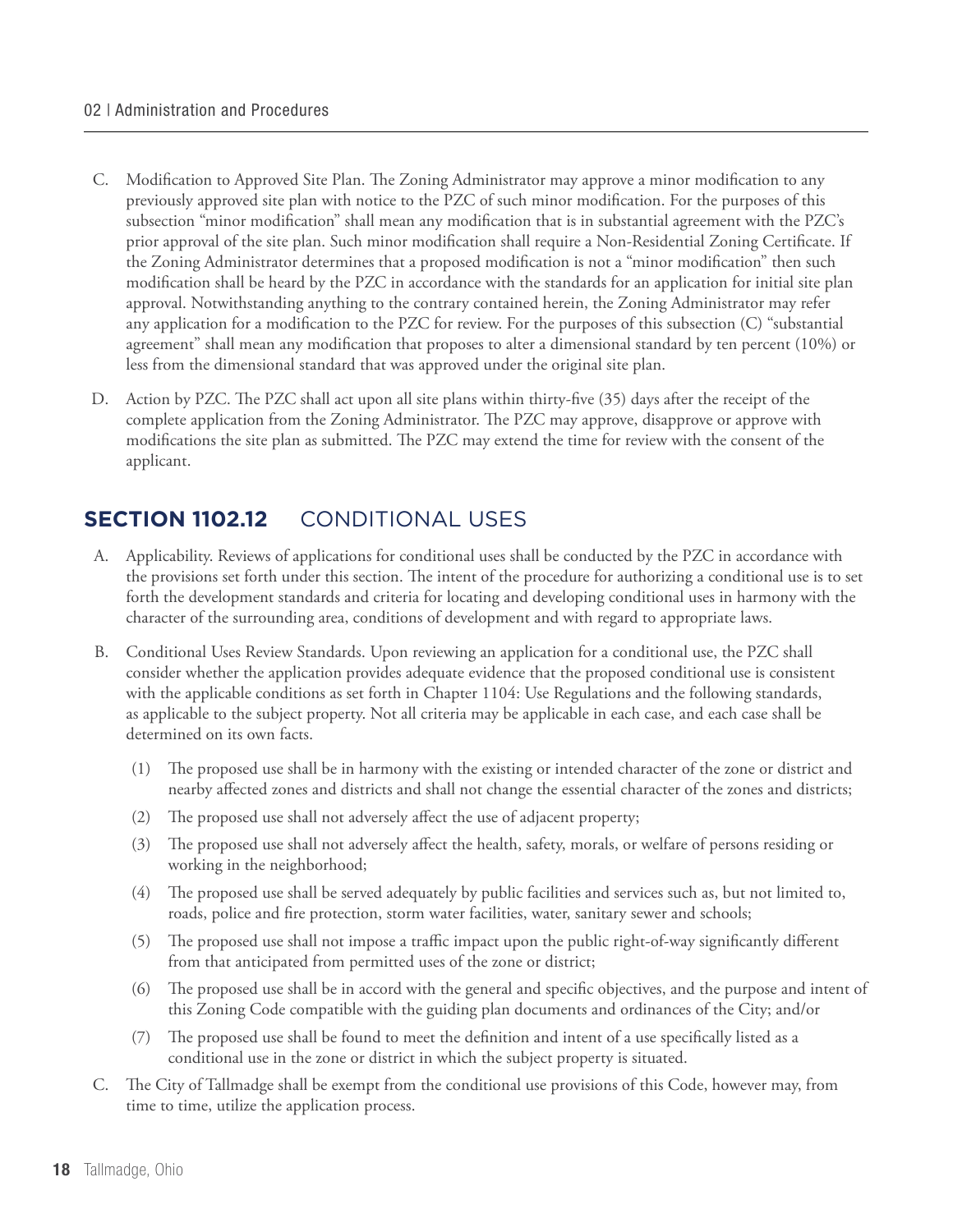#### 02 | Administration and Procedures

- C. Modification to Approved Site Plan. The Zoning Administrator may approve a minor modification to any previously approved site plan with notice to the PZC of such minor modification. For the purposes of this subsection "minor modification" shall mean any modification that is in substantial agreement with the PZC's prior approval of the site plan. Such minor modification shall require a Non-Residential Zoning Certificate. If the Zoning Administrator determines that a proposed modification is not a "minor modification" then such modification shall be heard by the PZC in accordance with the standards for an application for initial site plan approval. Notwithstanding anything to the contrary contained herein, the Zoning Administrator may refer any application for a modification to the PZC for review. For the purposes of this subsection (C) "substantial agreement" shall mean any modification that proposes to alter a dimensional standard by ten percent (10%) or less from the dimensional standard that was approved under the original site plan.
- D. Action by PZC. The PZC shall act upon all site plans within thirty-five (35) days after the receipt of the complete application from the Zoning Administrator. The PZC may approve, disapprove or approve with modifications the site plan as submitted. The PZC may extend the time for review with the consent of the applicant.

#### **Section 1102.12** CONDITIONAL USES

- A. Applicability. Reviews of applications for conditional uses shall be conducted by the PZC in accordance with the provisions set forth under this section. The intent of the procedure for authorizing a conditional use is to set forth the development standards and criteria for locating and developing conditional uses in harmony with the character of the surrounding area, conditions of development and with regard to appropriate laws.
- B. Conditional Uses Review Standards. Upon reviewing an application for a conditional use, the PZC shall consider whether the application provides adequate evidence that the proposed conditional use is consistent with the applicable conditions as set forth in Chapter 1104: Use Regulations and the following standards, as applicable to the subject property. Not all criteria may be applicable in each case, and each case shall be determined on its own facts.
	- (1) The proposed use shall be in harmony with the existing or intended character of the zone or district and nearby affected zones and districts and shall not change the essential character of the zones and districts;
	- (2) The proposed use shall not adversely affect the use of adjacent property;
	- (3) The proposed use shall not adversely affect the health, safety, morals, or welfare of persons residing or working in the neighborhood;
	- (4) The proposed use shall be served adequately by public facilities and services such as, but not limited to, roads, police and fire protection, storm water facilities, water, sanitary sewer and schools;
	- (5) The proposed use shall not impose a traffic impact upon the public right-of-way significantly different from that anticipated from permitted uses of the zone or district;
	- (6) The proposed use shall be in accord with the general and specific objectives, and the purpose and intent of this Zoning Code compatible with the guiding plan documents and ordinances of the City; and/or
	- (7) The proposed use shall be found to meet the definition and intent of a use specifically listed as a conditional use in the zone or district in which the subject property is situated.
- C. The City of Tallmadge shall be exempt from the conditional use provisions of this Code, however may, from time to time, utilize the application process.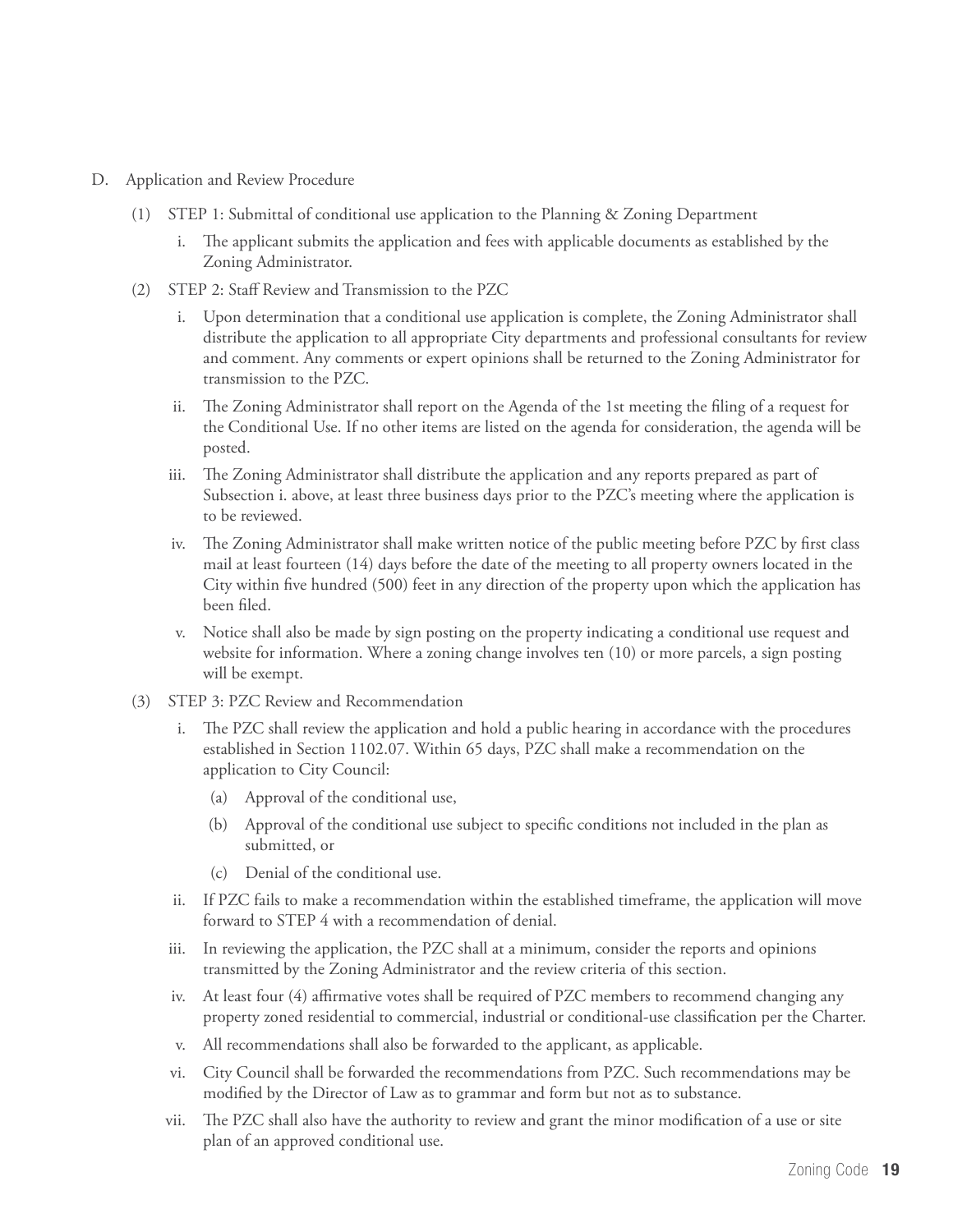- D. Application and Review Procedure
	- (1) STEP 1: Submittal of conditional use application to the Planning & Zoning Department
		- i. The applicant submits the application and fees with applicable documents as established by the Zoning Administrator.
	- (2) STEP 2: Staff Review and Transmission to the PZC
		- i. Upon determination that a conditional use application is complete, the Zoning Administrator shall distribute the application to all appropriate City departments and professional consultants for review and comment. Any comments or expert opinions shall be returned to the Zoning Administrator for transmission to the PZC.
		- ii. The Zoning Administrator shall report on the Agenda of the 1st meeting the filing of a request for the Conditional Use. If no other items are listed on the agenda for consideration, the agenda will be posted.
		- iii. The Zoning Administrator shall distribute the application and any reports prepared as part of Subsection i. above, at least three business days prior to the PZC's meeting where the application is to be reviewed.
		- iv. The Zoning Administrator shall make written notice of the public meeting before PZC by first class mail at least fourteen (14) days before the date of the meeting to all property owners located in the City within five hundred (500) feet in any direction of the property upon which the application has been filed.
		- v. Notice shall also be made by sign posting on the property indicating a conditional use request and website for information. Where a zoning change involves ten (10) or more parcels, a sign posting will be exempt.
	- (3) STEP 3: PZC Review and Recommendation
		- i. The PZC shall review the application and hold a public hearing in accordance with the procedures established in Section 1102.07. Within 65 days, PZC shall make a recommendation on the application to City Council:
			- (a) Approval of the conditional use,
			- (b) Approval of the conditional use subject to specific conditions not included in the plan as submitted, or
			- (c) Denial of the conditional use.
		- ii. If PZC fails to make a recommendation within the established timeframe, the application will move forward to STEP 4 with a recommendation of denial.
		- iii. In reviewing the application, the PZC shall at a minimum, consider the reports and opinions transmitted by the Zoning Administrator and the review criteria of this section.
		- iv. At least four (4) affirmative votes shall be required of PZC members to recommend changing any property zoned residential to commercial, industrial or conditional-use classification per the Charter.
		- v. All recommendations shall also be forwarded to the applicant, as applicable.
		- vi. City Council shall be forwarded the recommendations from PZC. Such recommendations may be modified by the Director of Law as to grammar and form but not as to substance.
		- vii. The PZC shall also have the authority to review and grant the minor modification of a use or site plan of an approved conditional use.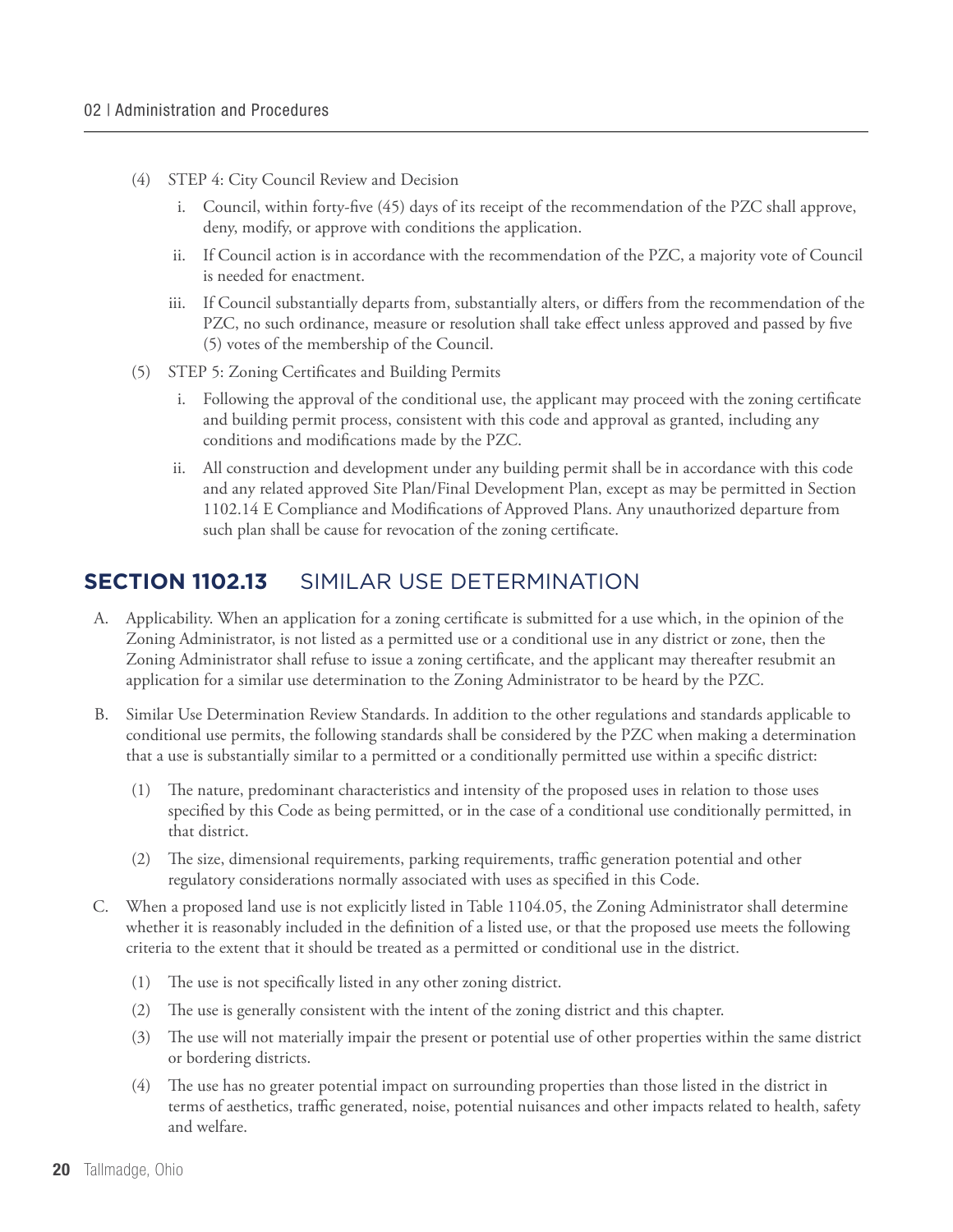- (4) STEP 4: City Council Review and Decision
	- i. Council, within forty-five (45) days of its receipt of the recommendation of the PZC shall approve, deny, modify, or approve with conditions the application.
	- ii. If Council action is in accordance with the recommendation of the PZC, a majority vote of Council is needed for enactment.
	- iii. If Council substantially departs from, substantially alters, or differs from the recommendation of the PZC, no such ordinance, measure or resolution shall take effect unless approved and passed by five (5) votes of the membership of the Council.
- (5) STEP 5: Zoning Certificates and Building Permits
	- i. Following the approval of the conditional use, the applicant may proceed with the zoning certificate and building permit process, consistent with this code and approval as granted, including any conditions and modifications made by the PZC.
	- ii. All construction and development under any building permit shall be in accordance with this code and any related approved Site Plan/Final Development Plan, except as may be permitted in Section 1102.14 E Compliance and Modifications of Approved Plans. Any unauthorized departure from such plan shall be cause for revocation of the zoning certificate.

#### **Section 1102.13** SIMILAR USE DETERMINATION

- A. Applicability. When an application for a zoning certificate is submitted for a use which, in the opinion of the Zoning Administrator, is not listed as a permitted use or a conditional use in any district or zone, then the Zoning Administrator shall refuse to issue a zoning certificate, and the applicant may thereafter resubmit an application for a similar use determination to the Zoning Administrator to be heard by the PZC.
- B. Similar Use Determination Review Standards. In addition to the other regulations and standards applicable to conditional use permits, the following standards shall be considered by the PZC when making a determination that a use is substantially similar to a permitted or a conditionally permitted use within a specific district:
	- (1) The nature, predominant characteristics and intensity of the proposed uses in relation to those uses specified by this Code as being permitted, or in the case of a conditional use conditionally permitted, in that district.
	- (2) The size, dimensional requirements, parking requirements, traffic generation potential and other regulatory considerations normally associated with uses as specified in this Code.
- C. When a proposed land use is not explicitly listed in Table 1104.05, the Zoning Administrator shall determine whether it is reasonably included in the definition of a listed use, or that the proposed use meets the following criteria to the extent that it should be treated as a permitted or conditional use in the district.
	- (1) The use is not specifically listed in any other zoning district.
	- (2) The use is generally consistent with the intent of the zoning district and this chapter.
	- (3) The use will not materially impair the present or potential use of other properties within the same district or bordering districts.
	- (4) The use has no greater potential impact on surrounding properties than those listed in the district in terms of aesthetics, traffic generated, noise, potential nuisances and other impacts related to health, safety and welfare.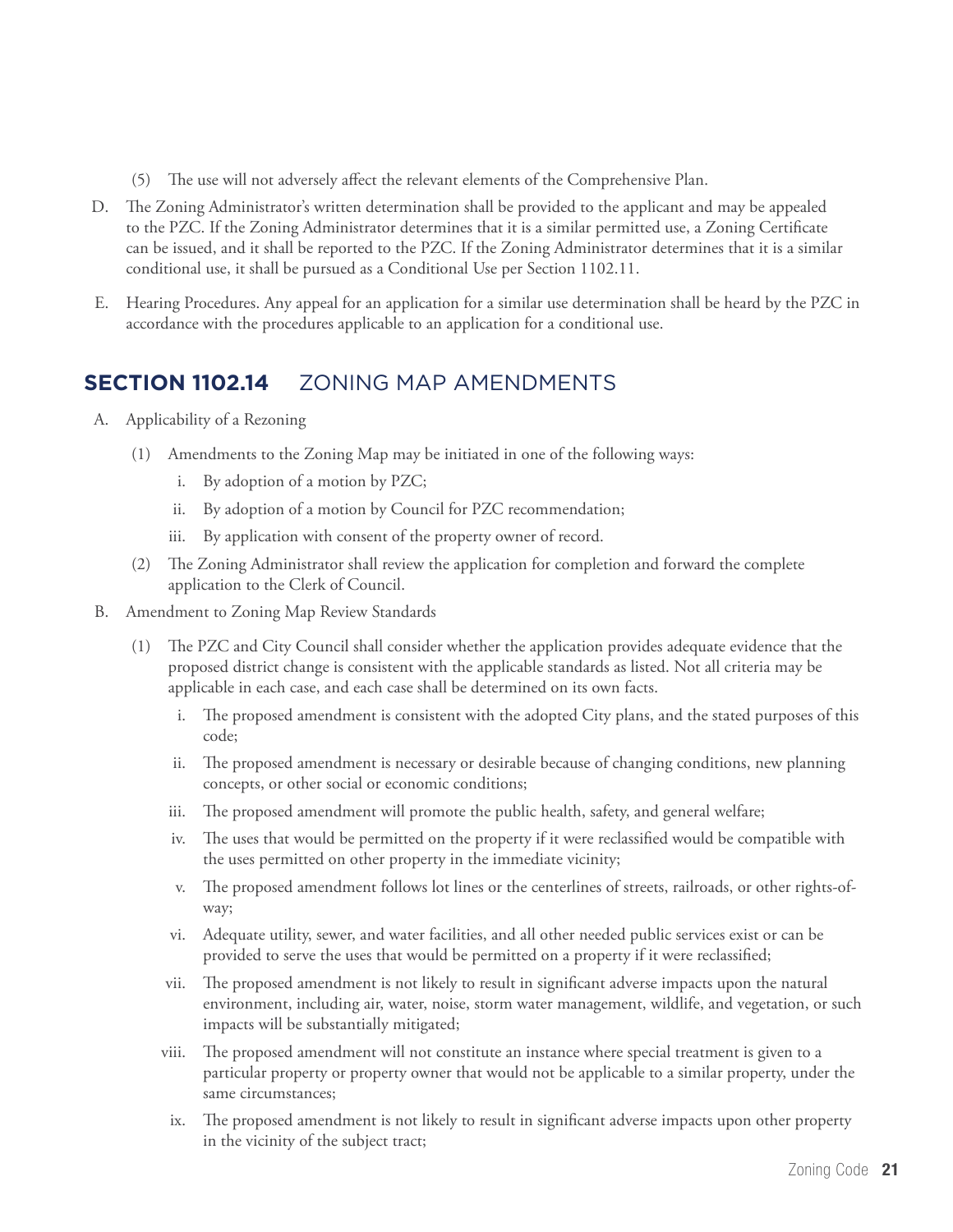- (5) The use will not adversely affect the relevant elements of the Comprehensive Plan.
- D. The Zoning Administrator's written determination shall be provided to the applicant and may be appealed to the PZC. If the Zoning Administrator determines that it is a similar permitted use, a Zoning Certificate can be issued, and it shall be reported to the PZC. If the Zoning Administrator determines that it is a similar conditional use, it shall be pursued as a Conditional Use per Section 1102.11.
- E. Hearing Procedures. Any appeal for an application for a similar use determination shall be heard by the PZC in accordance with the procedures applicable to an application for a conditional use.

#### **SECTION 1102.14 7 ONING MAP AMENDMENTS**

- A. Applicability of a Rezoning
	- (1) Amendments to the Zoning Map may be initiated in one of the following ways:
		- i. By adoption of a motion by PZC;
		- ii. By adoption of a motion by Council for PZC recommendation;
		- iii. By application with consent of the property owner of record.
	- (2) The Zoning Administrator shall review the application for completion and forward the complete application to the Clerk of Council.
- B. Amendment to Zoning Map Review Standards
	- (1) The PZC and City Council shall consider whether the application provides adequate evidence that the proposed district change is consistent with the applicable standards as listed. Not all criteria may be applicable in each case, and each case shall be determined on its own facts.
		- i. The proposed amendment is consistent with the adopted City plans, and the stated purposes of this code;
		- ii. The proposed amendment is necessary or desirable because of changing conditions, new planning concepts, or other social or economic conditions;
		- iii. The proposed amendment will promote the public health, safety, and general welfare;
		- iv. The uses that would be permitted on the property if it were reclassified would be compatible with the uses permitted on other property in the immediate vicinity;
		- v. The proposed amendment follows lot lines or the centerlines of streets, railroads, or other rights-ofway;
		- vi. Adequate utility, sewer, and water facilities, and all other needed public services exist or can be provided to serve the uses that would be permitted on a property if it were reclassified;
		- vii. The proposed amendment is not likely to result in significant adverse impacts upon the natural environment, including air, water, noise, storm water management, wildlife, and vegetation, or such impacts will be substantially mitigated;
		- viii. The proposed amendment will not constitute an instance where special treatment is given to a particular property or property owner that would not be applicable to a similar property, under the same circumstances;
		- ix. The proposed amendment is not likely to result in significant adverse impacts upon other property in the vicinity of the subject tract;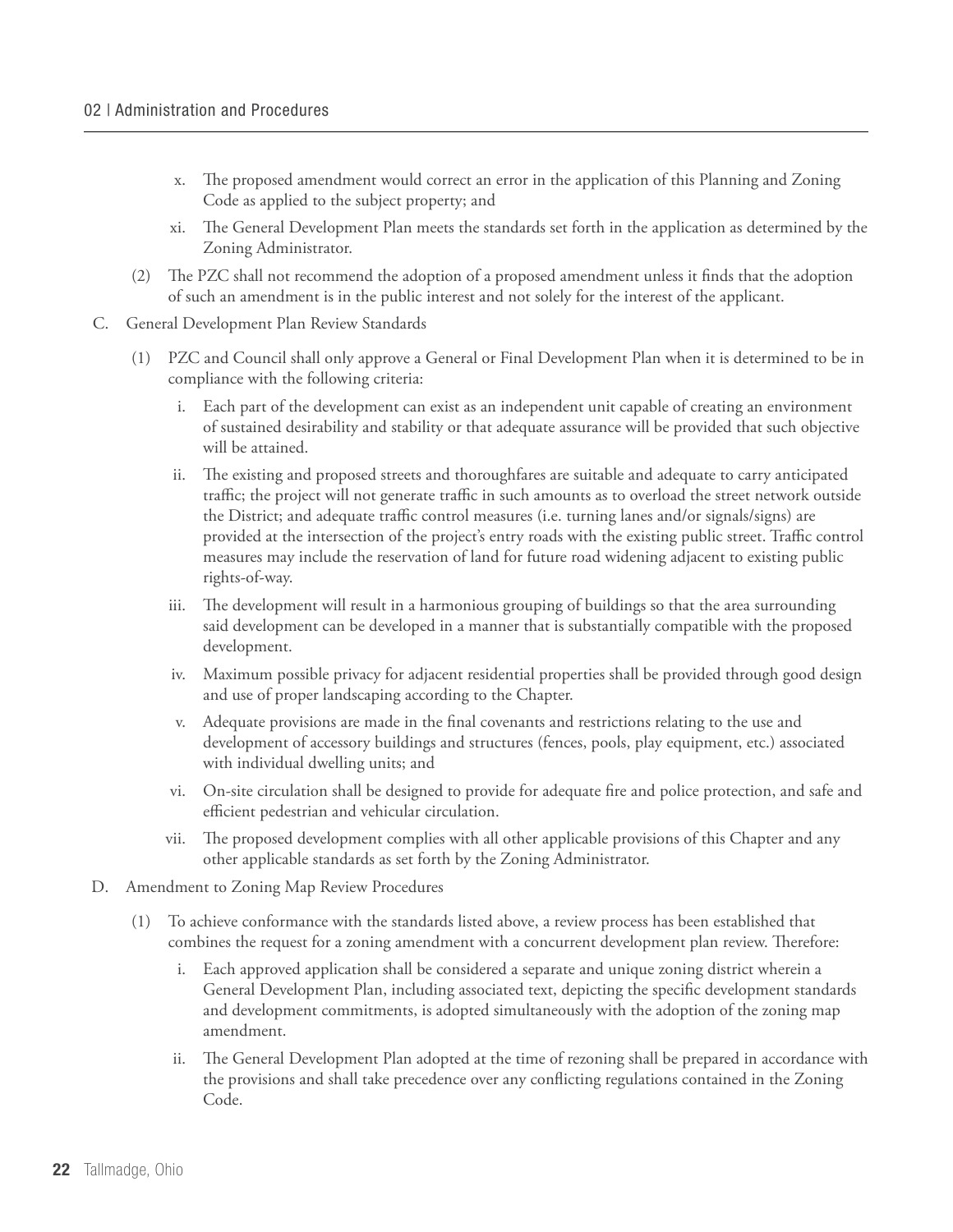- x. The proposed amendment would correct an error in the application of this Planning and Zoning Code as applied to the subject property; and
- xi. The General Development Plan meets the standards set forth in the application as determined by the Zoning Administrator.
- (2) The PZC shall not recommend the adoption of a proposed amendment unless it finds that the adoption of such an amendment is in the public interest and not solely for the interest of the applicant.
- C. General Development Plan Review Standards
	- (1) PZC and Council shall only approve a General or Final Development Plan when it is determined to be in compliance with the following criteria:
		- i. Each part of the development can exist as an independent unit capable of creating an environment of sustained desirability and stability or that adequate assurance will be provided that such objective will be attained.
		- ii. The existing and proposed streets and thoroughfares are suitable and adequate to carry anticipated traffic; the project will not generate traffic in such amounts as to overload the street network outside the District; and adequate traffic control measures (i.e. turning lanes and/or signals/signs) are provided at the intersection of the project's entry roads with the existing public street. Traffic control measures may include the reservation of land for future road widening adjacent to existing public rights-of-way.
		- iii. The development will result in a harmonious grouping of buildings so that the area surrounding said development can be developed in a manner that is substantially compatible with the proposed development.
		- iv. Maximum possible privacy for adjacent residential properties shall be provided through good design and use of proper landscaping according to the Chapter.
		- v. Adequate provisions are made in the final covenants and restrictions relating to the use and development of accessory buildings and structures (fences, pools, play equipment, etc.) associated with individual dwelling units; and
		- vi. On-site circulation shall be designed to provide for adequate fire and police protection, and safe and efficient pedestrian and vehicular circulation.
		- vii. The proposed development complies with all other applicable provisions of this Chapter and any other applicable standards as set forth by the Zoning Administrator.
- D. Amendment to Zoning Map Review Procedures
	- (1) To achieve conformance with the standards listed above, a review process has been established that combines the request for a zoning amendment with a concurrent development plan review. Therefore:
		- i. Each approved application shall be considered a separate and unique zoning district wherein a General Development Plan, including associated text, depicting the specific development standards and development commitments, is adopted simultaneously with the adoption of the zoning map amendment.
		- ii. The General Development Plan adopted at the time of rezoning shall be prepared in accordance with the provisions and shall take precedence over any conflicting regulations contained in the Zoning Code.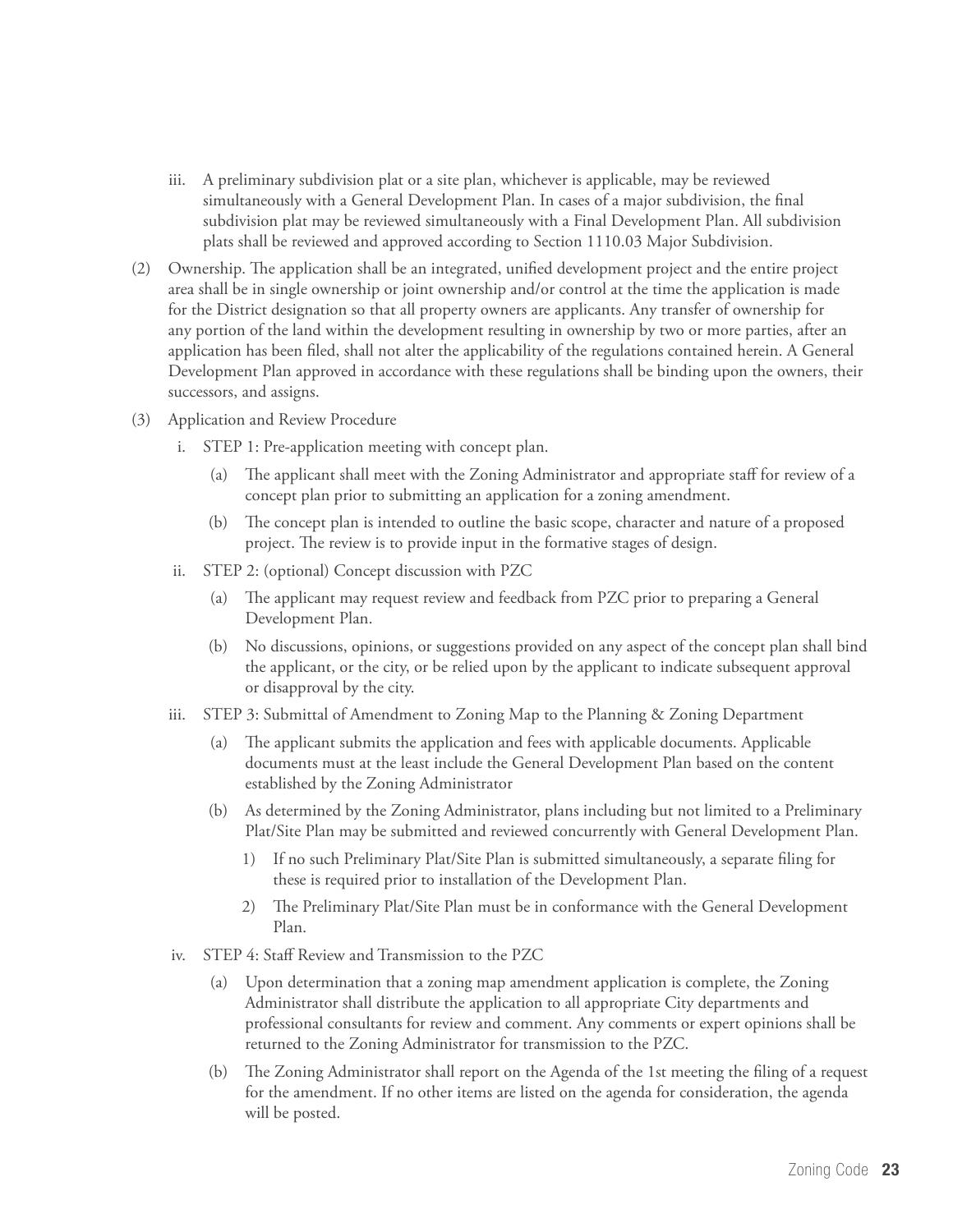- iii. A preliminary subdivision plat or a site plan, whichever is applicable, may be reviewed simultaneously with a General Development Plan. In cases of a major subdivision, the final subdivision plat may be reviewed simultaneously with a Final Development Plan. All subdivision plats shall be reviewed and approved according to Section 1110.03 Major Subdivision.
- (2) Ownership. The application shall be an integrated, unified development project and the entire project area shall be in single ownership or joint ownership and/or control at the time the application is made for the District designation so that all property owners are applicants. Any transfer of ownership for any portion of the land within the development resulting in ownership by two or more parties, after an application has been filed, shall not alter the applicability of the regulations contained herein. A General Development Plan approved in accordance with these regulations shall be binding upon the owners, their successors, and assigns.
- (3) Application and Review Procedure
	- i. STEP 1: Pre-application meeting with concept plan.
		- (a) The applicant shall meet with the Zoning Administrator and appropriate staff for review of a concept plan prior to submitting an application for a zoning amendment.
		- (b) The concept plan is intended to outline the basic scope, character and nature of a proposed project. The review is to provide input in the formative stages of design.
	- ii. STEP 2: (optional) Concept discussion with PZC
		- (a) The applicant may request review and feedback from PZC prior to preparing a General Development Plan.
		- (b) No discussions, opinions, or suggestions provided on any aspect of the concept plan shall bind the applicant, or the city, or be relied upon by the applicant to indicate subsequent approval or disapproval by the city.
	- iii. STEP 3: Submittal of Amendment to Zoning Map to the Planning & Zoning Department
		- The applicant submits the application and fees with applicable documents. Applicable documents must at the least include the General Development Plan based on the content established by the Zoning Administrator
		- (b) As determined by the Zoning Administrator, plans including but not limited to a Preliminary Plat/Site Plan may be submitted and reviewed concurrently with General Development Plan.
			- 1) If no such Preliminary Plat/Site Plan is submitted simultaneously, a separate filing for these is required prior to installation of the Development Plan.
			- 2) The Preliminary Plat/Site Plan must be in conformance with the General Development Plan.
	- iv. STEP 4: Staff Review and Transmission to the PZC
		- (a) Upon determination that a zoning map amendment application is complete, the Zoning Administrator shall distribute the application to all appropriate City departments and professional consultants for review and comment. Any comments or expert opinions shall be returned to the Zoning Administrator for transmission to the PZC.
		- (b) The Zoning Administrator shall report on the Agenda of the 1st meeting the filing of a request for the amendment. If no other items are listed on the agenda for consideration, the agenda will be posted.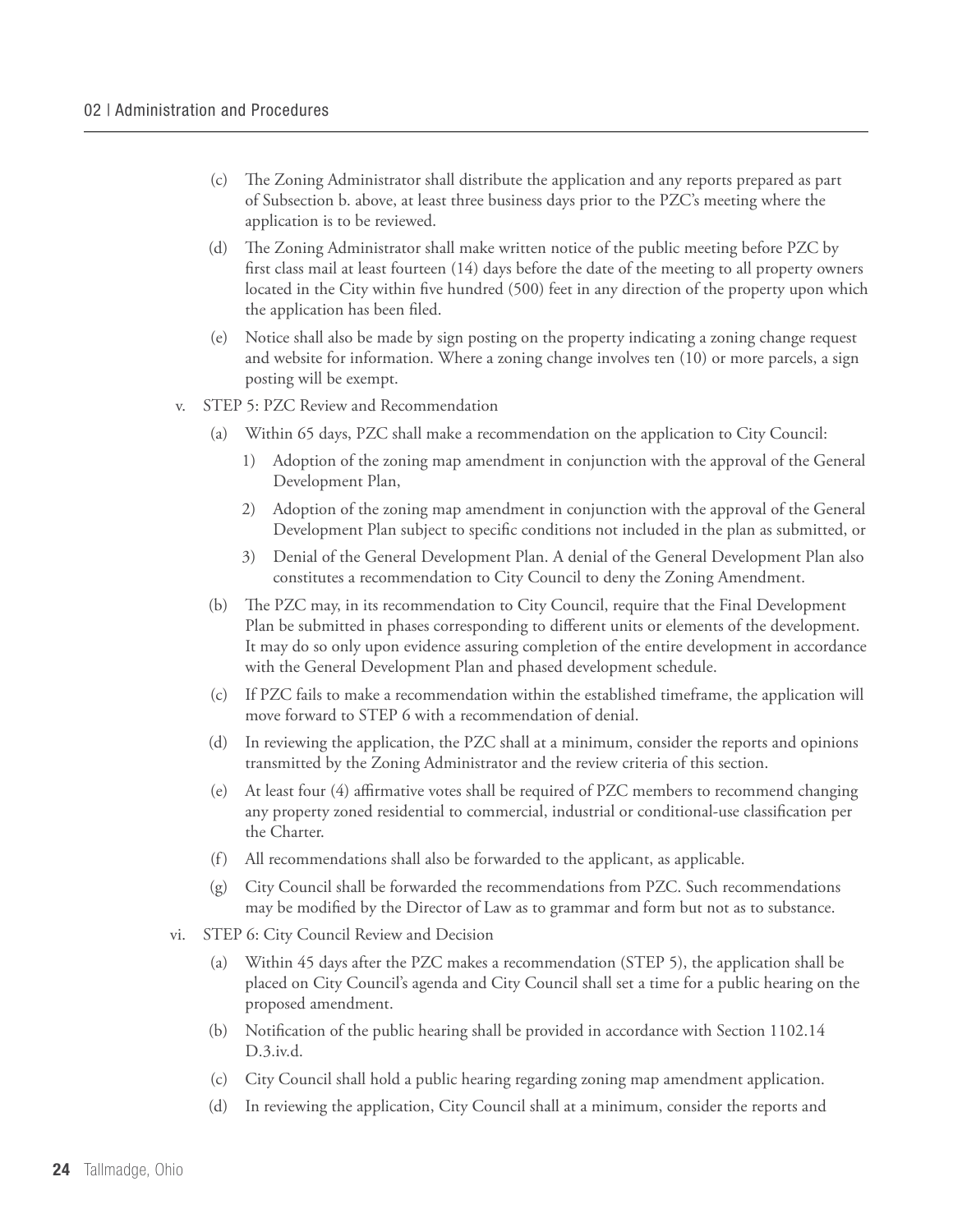- (c) The Zoning Administrator shall distribute the application and any reports prepared as part of Subsection b. above, at least three business days prior to the PZC's meeting where the application is to be reviewed.
- (d) The Zoning Administrator shall make written notice of the public meeting before PZC by first class mail at least fourteen (14) days before the date of the meeting to all property owners located in the City within five hundred (500) feet in any direction of the property upon which the application has been filed.
- (e) Notice shall also be made by sign posting on the property indicating a zoning change request and website for information. Where a zoning change involves ten (10) or more parcels, a sign posting will be exempt.
- v. STEP 5: PZC Review and Recommendation
	- (a) Within 65 days, PZC shall make a recommendation on the application to City Council:
		- 1) Adoption of the zoning map amendment in conjunction with the approval of the General Development Plan,
		- 2) Adoption of the zoning map amendment in conjunction with the approval of the General Development Plan subject to specific conditions not included in the plan as submitted, or
		- 3) Denial of the General Development Plan. A denial of the General Development Plan also constitutes a recommendation to City Council to deny the Zoning Amendment.
	- (b) The PZC may, in its recommendation to City Council, require that the Final Development Plan be submitted in phases corresponding to different units or elements of the development. It may do so only upon evidence assuring completion of the entire development in accordance with the General Development Plan and phased development schedule.
	- (c) If PZC fails to make a recommendation within the established timeframe, the application will move forward to STEP 6 with a recommendation of denial.
	- (d) In reviewing the application, the PZC shall at a minimum, consider the reports and opinions transmitted by the Zoning Administrator and the review criteria of this section.
	- (e) At least four (4) affirmative votes shall be required of PZC members to recommend changing any property zoned residential to commercial, industrial or conditional-use classification per the Charter.
	- (f) All recommendations shall also be forwarded to the applicant, as applicable.
	- (g) City Council shall be forwarded the recommendations from PZC. Such recommendations may be modified by the Director of Law as to grammar and form but not as to substance.
- vi. STEP 6: City Council Review and Decision
	- (a) Within 45 days after the PZC makes a recommendation (STEP 5), the application shall be placed on City Council's agenda and City Council shall set a time for a public hearing on the proposed amendment.
	- (b) Notification of the public hearing shall be provided in accordance with Section 1102.14 D.3.iv.d.
	- (c) City Council shall hold a public hearing regarding zoning map amendment application.
	- (d) In reviewing the application, City Council shall at a minimum, consider the reports and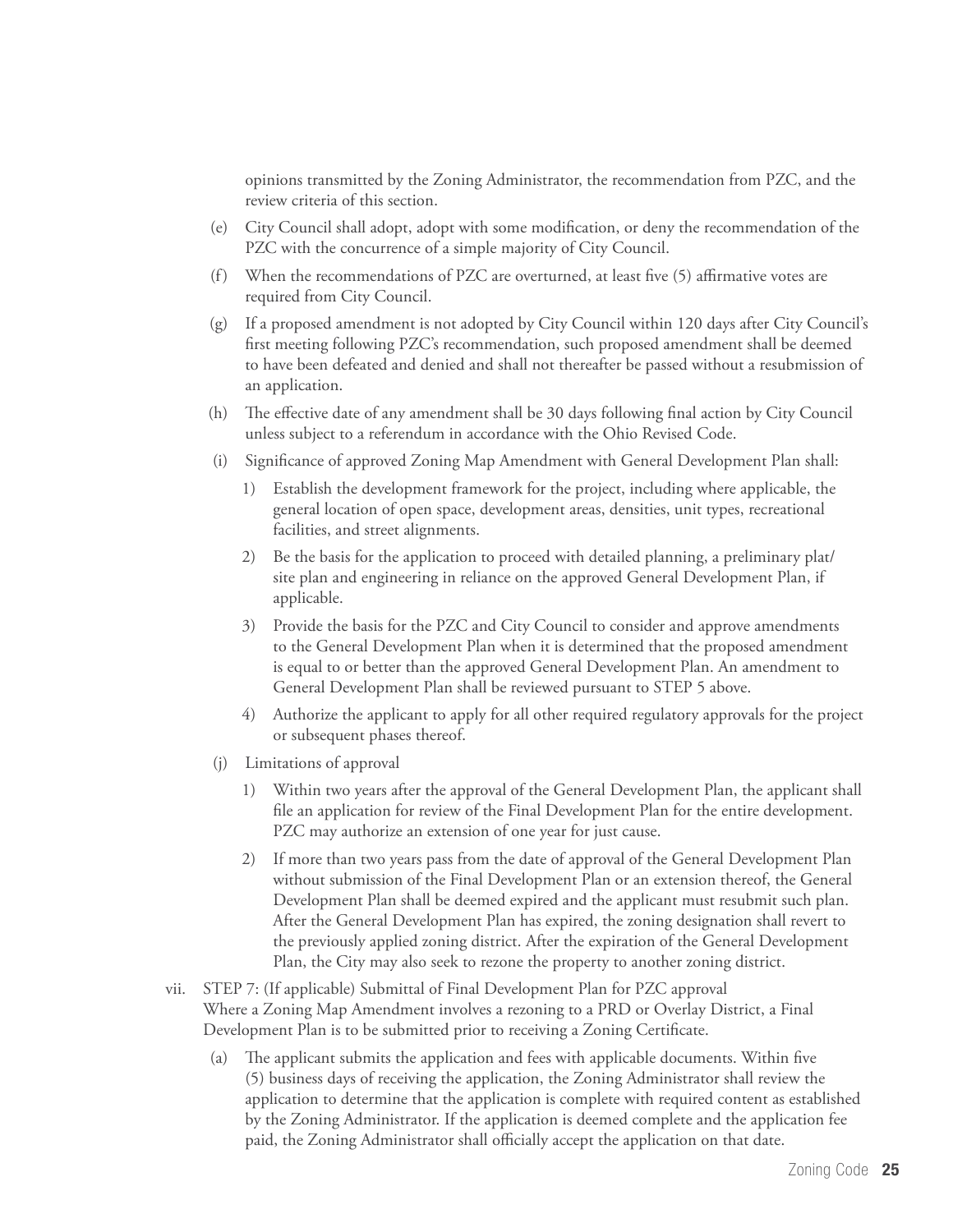opinions transmitted by the Zoning Administrator, the recommendation from PZC, and the review criteria of this section.

- (e) City Council shall adopt, adopt with some modification, or deny the recommendation of the PZC with the concurrence of a simple majority of City Council.
- (f) When the recommendations of PZC are overturned, at least five (5) affirmative votes are required from City Council.
- (g) If a proposed amendment is not adopted by City Council within 120 days after City Council's first meeting following PZC's recommendation, such proposed amendment shall be deemed to have been defeated and denied and shall not thereafter be passed without a resubmission of an application.
- (h) The effective date of any amendment shall be 30 days following final action by City Council unless subject to a referendum in accordance with the Ohio Revised Code.
- (i) Significance of approved Zoning Map Amendment with General Development Plan shall:
	- 1) Establish the development framework for the project, including where applicable, the general location of open space, development areas, densities, unit types, recreational facilities, and street alignments.
	- 2) Be the basis for the application to proceed with detailed planning, a preliminary plat/ site plan and engineering in reliance on the approved General Development Plan, if applicable.
	- 3) Provide the basis for the PZC and City Council to consider and approve amendments to the General Development Plan when it is determined that the proposed amendment is equal to or better than the approved General Development Plan. An amendment to General Development Plan shall be reviewed pursuant to STEP 5 above.
	- 4) Authorize the applicant to apply for all other required regulatory approvals for the project or subsequent phases thereof.
- (j) Limitations of approval
	- 1) Within two years after the approval of the General Development Plan, the applicant shall file an application for review of the Final Development Plan for the entire development. PZC may authorize an extension of one year for just cause.
	- 2) If more than two years pass from the date of approval of the General Development Plan without submission of the Final Development Plan or an extension thereof, the General Development Plan shall be deemed expired and the applicant must resubmit such plan. After the General Development Plan has expired, the zoning designation shall revert to the previously applied zoning district. After the expiration of the General Development Plan, the City may also seek to rezone the property to another zoning district.
- vii. STEP 7: (If applicable) Submittal of Final Development Plan for PZC approval Where a Zoning Map Amendment involves a rezoning to a PRD or Overlay District, a Final Development Plan is to be submitted prior to receiving a Zoning Certificate.
	- (a) The applicant submits the application and fees with applicable documents. Within five (5) business days of receiving the application, the Zoning Administrator shall review the application to determine that the application is complete with required content as established by the Zoning Administrator. If the application is deemed complete and the application fee paid, the Zoning Administrator shall officially accept the application on that date.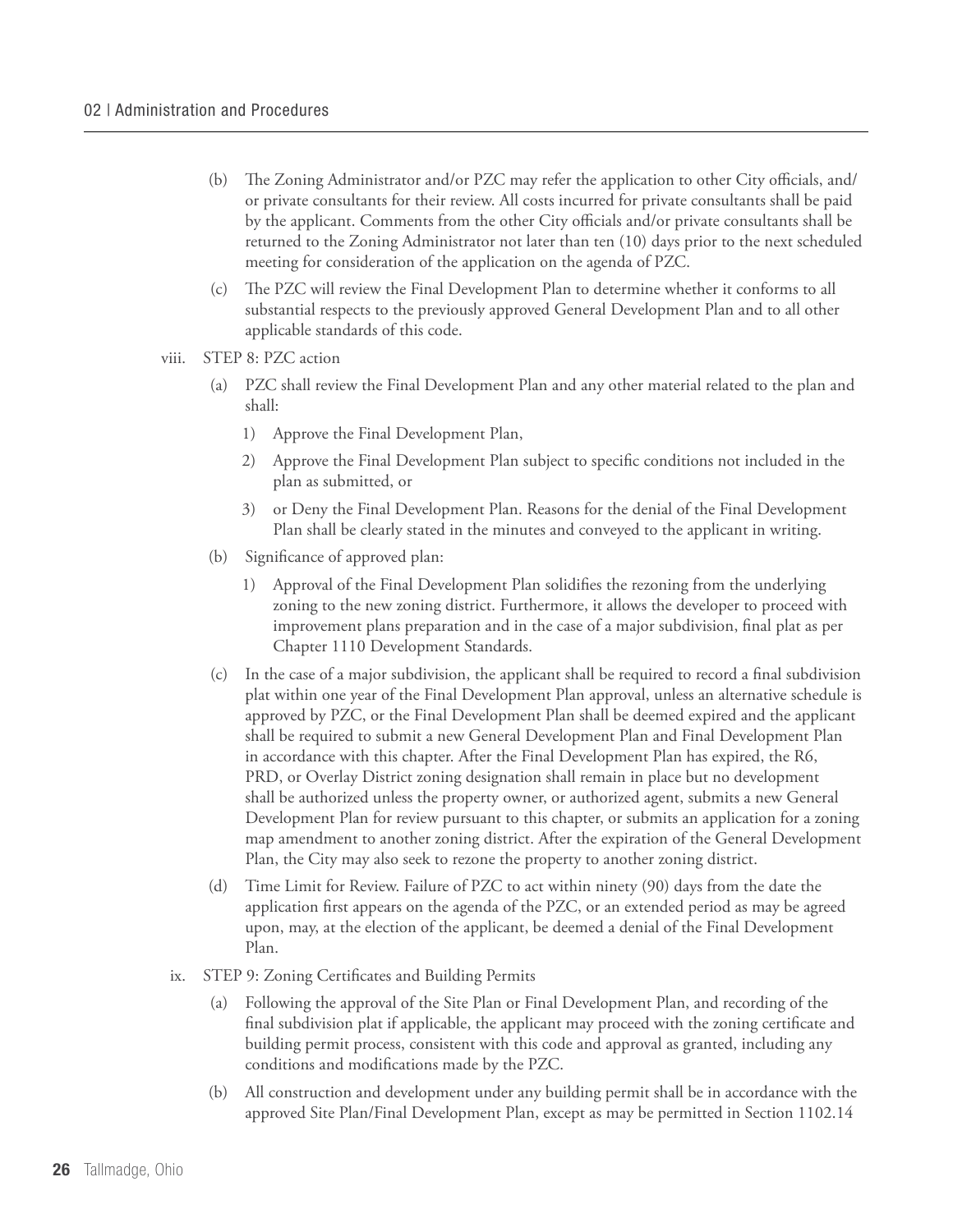- (b) The Zoning Administrator and/or PZC may refer the application to other City officials, and/ or private consultants for their review. All costs incurred for private consultants shall be paid by the applicant. Comments from the other City officials and/or private consultants shall be returned to the Zoning Administrator not later than ten (10) days prior to the next scheduled meeting for consideration of the application on the agenda of PZC.
- (c) The PZC will review the Final Development Plan to determine whether it conforms to all substantial respects to the previously approved General Development Plan and to all other applicable standards of this code.
- viii. STEP 8: PZC action
	- (a) PZC shall review the Final Development Plan and any other material related to the plan and shall:
		- 1) Approve the Final Development Plan,
		- 2) Approve the Final Development Plan subject to specific conditions not included in the plan as submitted, or
		- 3) or Deny the Final Development Plan. Reasons for the denial of the Final Development Plan shall be clearly stated in the minutes and conveyed to the applicant in writing.
	- (b) Significance of approved plan:
		- 1) Approval of the Final Development Plan solidifies the rezoning from the underlying zoning to the new zoning district. Furthermore, it allows the developer to proceed with improvement plans preparation and in the case of a major subdivision, final plat as per Chapter 1110 Development Standards.
	- (c) In the case of a major subdivision, the applicant shall be required to record a final subdivision plat within one year of the Final Development Plan approval, unless an alternative schedule is approved by PZC, or the Final Development Plan shall be deemed expired and the applicant shall be required to submit a new General Development Plan and Final Development Plan in accordance with this chapter. After the Final Development Plan has expired, the R6, PRD, or Overlay District zoning designation shall remain in place but no development shall be authorized unless the property owner, or authorized agent, submits a new General Development Plan for review pursuant to this chapter, or submits an application for a zoning map amendment to another zoning district. After the expiration of the General Development Plan, the City may also seek to rezone the property to another zoning district.
	- (d) Time Limit for Review. Failure of PZC to act within ninety (90) days from the date the application first appears on the agenda of the PZC, or an extended period as may be agreed upon, may, at the election of the applicant, be deemed a denial of the Final Development Plan.
- ix. STEP 9: Zoning Certificates and Building Permits
	- Following the approval of the Site Plan or Final Development Plan, and recording of the final subdivision plat if applicable, the applicant may proceed with the zoning certificate and building permit process, consistent with this code and approval as granted, including any conditions and modifications made by the PZC.
	- (b) All construction and development under any building permit shall be in accordance with the approved Site Plan/Final Development Plan, except as may be permitted in Section 1102.14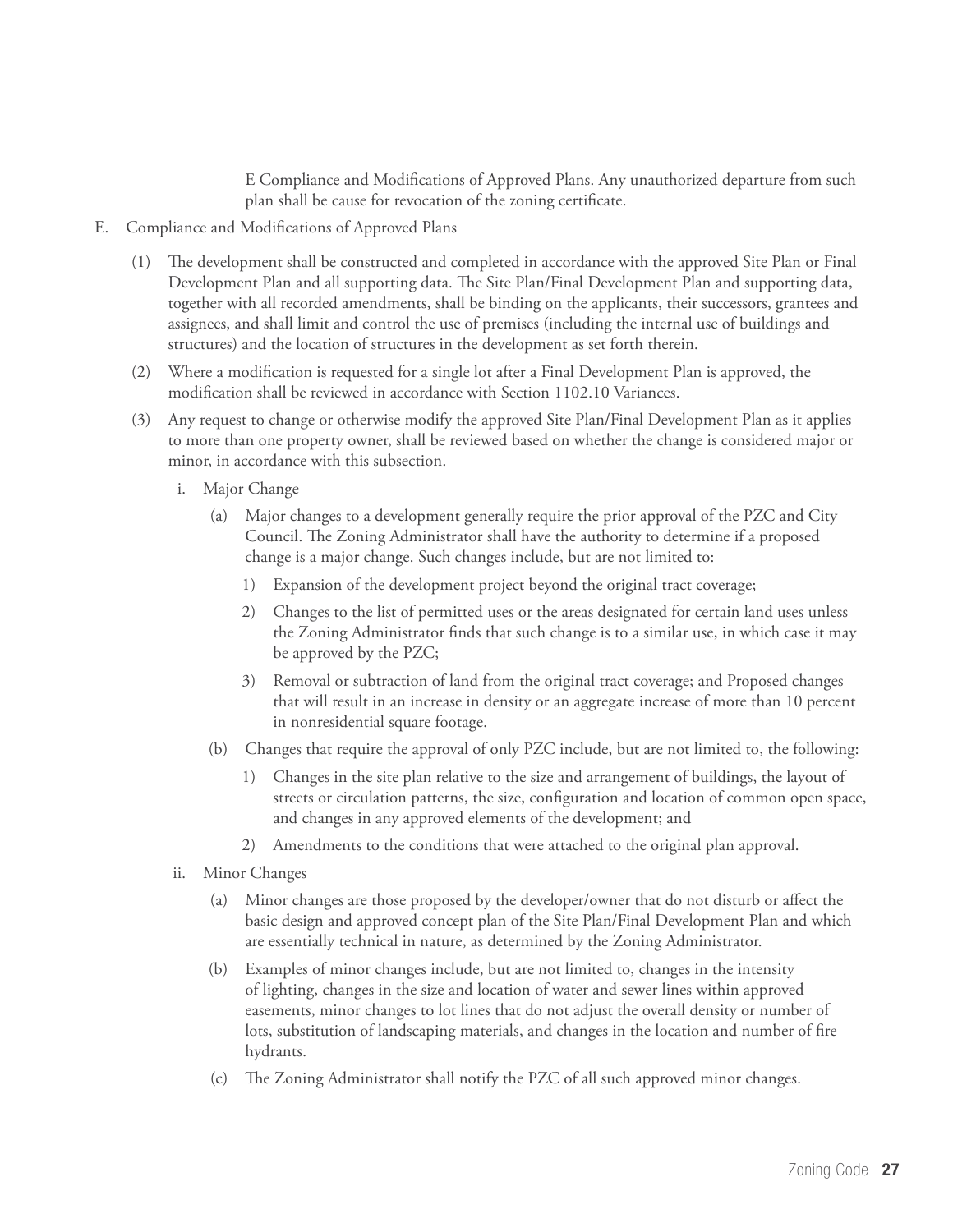E Compliance and Modifications of Approved Plans. Any unauthorized departure from such plan shall be cause for revocation of the zoning certificate.

- E. Compliance and Modifications of Approved Plans
	- (1) The development shall be constructed and completed in accordance with the approved Site Plan or Final Development Plan and all supporting data. The Site Plan/Final Development Plan and supporting data, together with all recorded amendments, shall be binding on the applicants, their successors, grantees and assignees, and shall limit and control the use of premises (including the internal use of buildings and structures) and the location of structures in the development as set forth therein.
	- (2) Where a modification is requested for a single lot after a Final Development Plan is approved, the modification shall be reviewed in accordance with Section 1102.10 Variances.
	- (3) Any request to change or otherwise modify the approved Site Plan/Final Development Plan as it applies to more than one property owner, shall be reviewed based on whether the change is considered major or minor, in accordance with this subsection.
		- i. Major Change
			- (a) Major changes to a development generally require the prior approval of the PZC and City Council. The Zoning Administrator shall have the authority to determine if a proposed change is a major change. Such changes include, but are not limited to:
				- 1) Expansion of the development project beyond the original tract coverage;
				- 2) Changes to the list of permitted uses or the areas designated for certain land uses unless the Zoning Administrator finds that such change is to a similar use, in which case it may be approved by the PZC;
				- 3) Removal or subtraction of land from the original tract coverage; and Proposed changes that will result in an increase in density or an aggregate increase of more than 10 percent in nonresidential square footage.
			- (b) Changes that require the approval of only PZC include, but are not limited to, the following:
				- 1) Changes in the site plan relative to the size and arrangement of buildings, the layout of streets or circulation patterns, the size, configuration and location of common open space, and changes in any approved elements of the development; and
				- 2) Amendments to the conditions that were attached to the original plan approval.
		- ii. Minor Changes
			- (a) Minor changes are those proposed by the developer/owner that do not disturb or affect the basic design and approved concept plan of the Site Plan/Final Development Plan and which are essentially technical in nature, as determined by the Zoning Administrator.
			- (b) Examples of minor changes include, but are not limited to, changes in the intensity of lighting, changes in the size and location of water and sewer lines within approved easements, minor changes to lot lines that do not adjust the overall density or number of lots, substitution of landscaping materials, and changes in the location and number of fire hydrants.
			- (c) The Zoning Administrator shall notify the PZC of all such approved minor changes.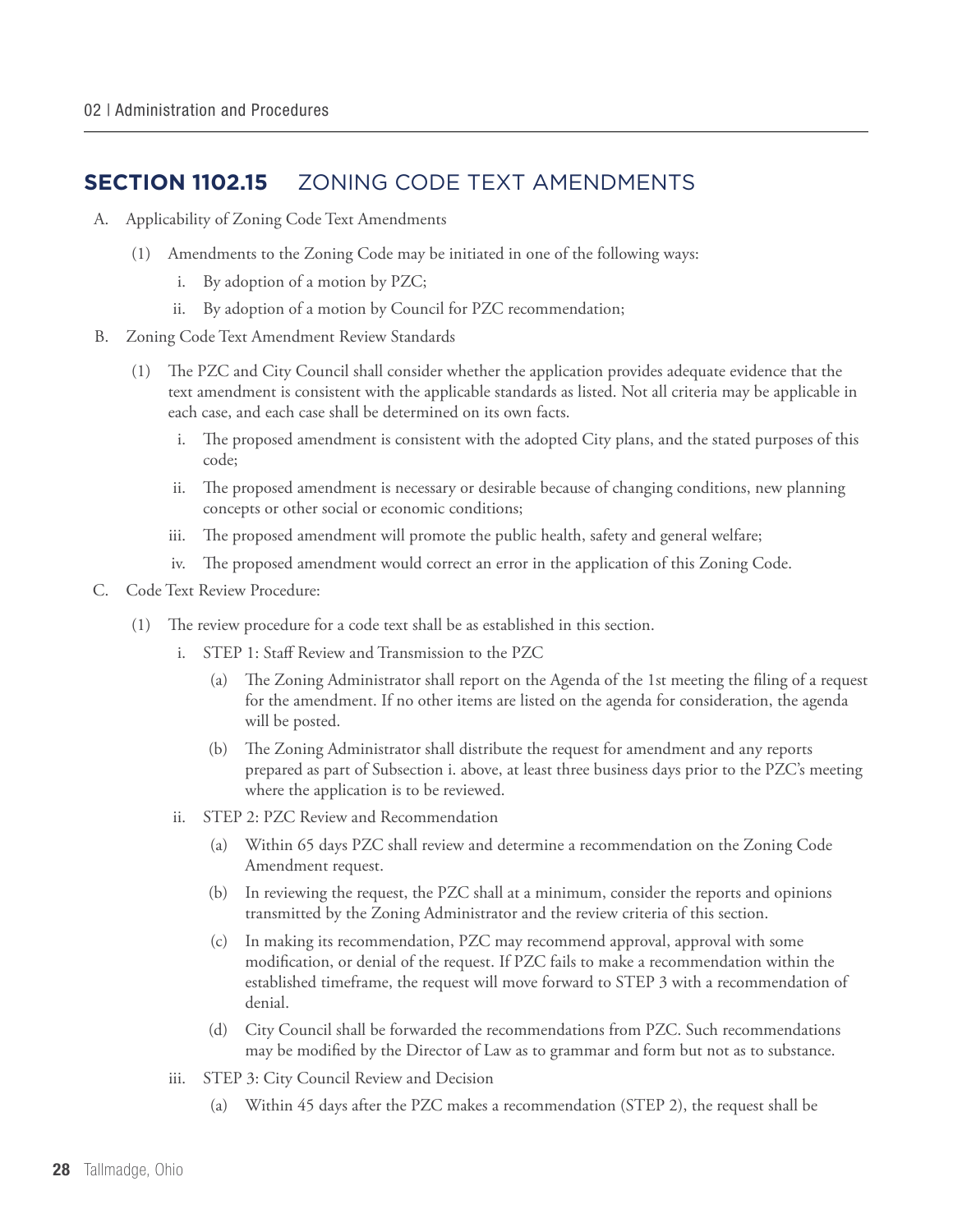#### **Section 1102.15** ZONING CODE TEXT AMENDMENTS

- A. Applicability of Zoning Code Text Amendments
	- (1) Amendments to the Zoning Code may be initiated in one of the following ways:
		- i. By adoption of a motion by PZC;
		- ii. By adoption of a motion by Council for PZC recommendation;
- B. Zoning Code Text Amendment Review Standards
	- (1) The PZC and City Council shall consider whether the application provides adequate evidence that the text amendment is consistent with the applicable standards as listed. Not all criteria may be applicable in each case, and each case shall be determined on its own facts.
		- i. The proposed amendment is consistent with the adopted City plans, and the stated purposes of this code;
		- ii. The proposed amendment is necessary or desirable because of changing conditions, new planning concepts or other social or economic conditions;
		- iii. The proposed amendment will promote the public health, safety and general welfare;
		- iv. The proposed amendment would correct an error in the application of this Zoning Code.
- C. Code Text Review Procedure:
	- (1) The review procedure for a code text shall be as established in this section.
		- i. STEP 1: Staff Review and Transmission to the PZC
			- (a) The Zoning Administrator shall report on the Agenda of the 1st meeting the filing of a request for the amendment. If no other items are listed on the agenda for consideration, the agenda will be posted.
			- (b) The Zoning Administrator shall distribute the request for amendment and any reports prepared as part of Subsection i. above, at least three business days prior to the PZC's meeting where the application is to be reviewed.
		- ii. STEP 2: PZC Review and Recommendation
			- (a) Within 65 days PZC shall review and determine a recommendation on the Zoning Code Amendment request.
			- (b) In reviewing the request, the PZC shall at a minimum, consider the reports and opinions transmitted by the Zoning Administrator and the review criteria of this section.
			- (c) In making its recommendation, PZC may recommend approval, approval with some modification, or denial of the request. If PZC fails to make a recommendation within the established timeframe, the request will move forward to STEP 3 with a recommendation of denial.
			- (d) City Council shall be forwarded the recommendations from PZC. Such recommendations may be modified by the Director of Law as to grammar and form but not as to substance.
		- iii. STEP 3: City Council Review and Decision
			- (a) Within 45 days after the PZC makes a recommendation (STEP 2), the request shall be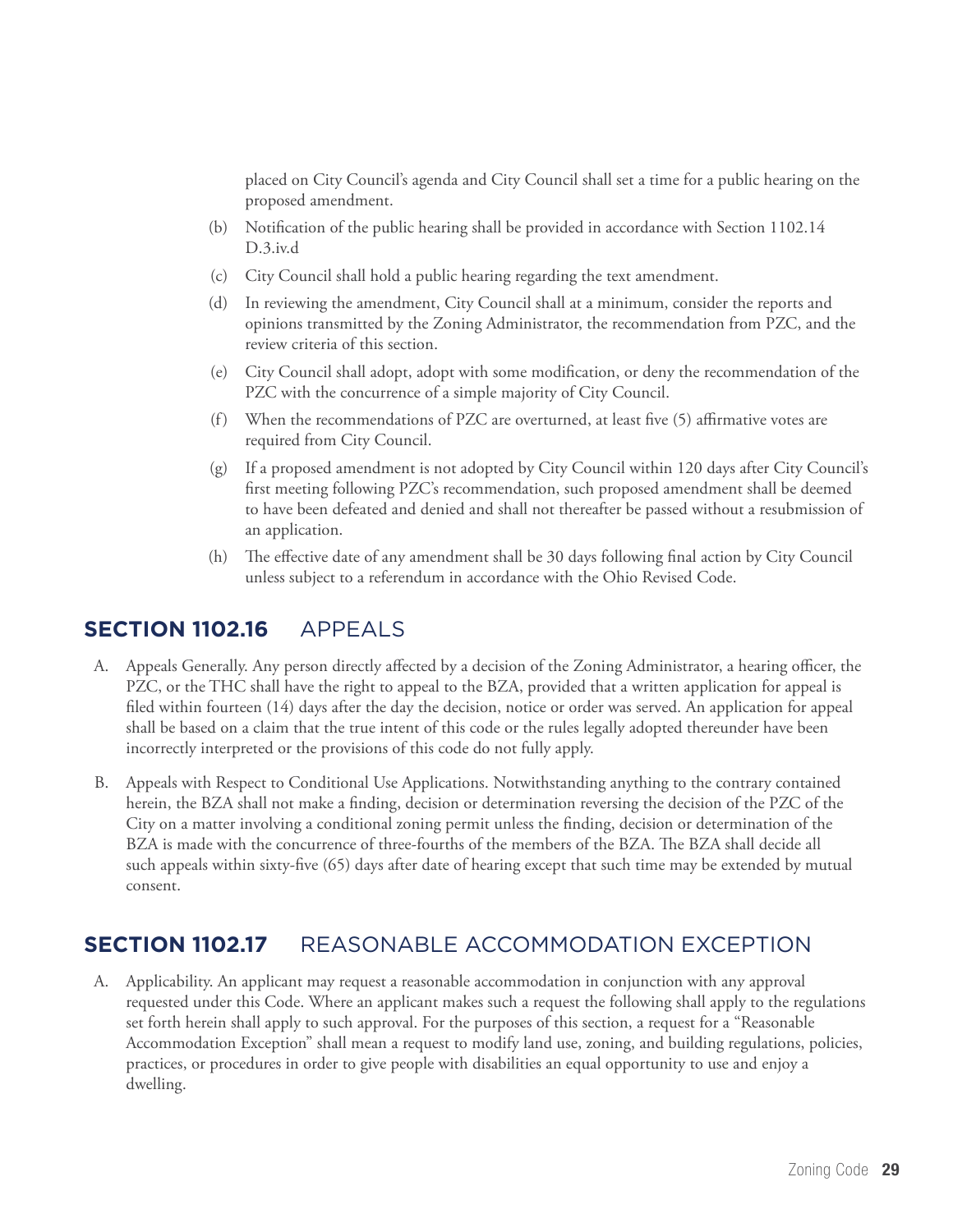placed on City Council's agenda and City Council shall set a time for a public hearing on the proposed amendment.

- (b) Notification of the public hearing shall be provided in accordance with Section 1102.14 D.3.iv.d
- (c) City Council shall hold a public hearing regarding the text amendment.
- (d) In reviewing the amendment, City Council shall at a minimum, consider the reports and opinions transmitted by the Zoning Administrator, the recommendation from PZC, and the review criteria of this section.
- (e) City Council shall adopt, adopt with some modification, or deny the recommendation of the PZC with the concurrence of a simple majority of City Council.
- (f) When the recommendations of PZC are overturned, at least five (5) affirmative votes are required from City Council.
- (g) If a proposed amendment is not adopted by City Council within 120 days after City Council's first meeting following PZC's recommendation, such proposed amendment shall be deemed to have been defeated and denied and shall not thereafter be passed without a resubmission of an application.
- (h) The effective date of any amendment shall be 30 days following final action by City Council unless subject to a referendum in accordance with the Ohio Revised Code.

#### **Section 1102.16** APPEALS

- A. Appeals Generally. Any person directly affected by a decision of the Zoning Administrator, a hearing officer, the PZC, or the THC shall have the right to appeal to the BZA, provided that a written application for appeal is filed within fourteen (14) days after the day the decision, notice or order was served. An application for appeal shall be based on a claim that the true intent of this code or the rules legally adopted thereunder have been incorrectly interpreted or the provisions of this code do not fully apply.
- B. Appeals with Respect to Conditional Use Applications. Notwithstanding anything to the contrary contained herein, the BZA shall not make a finding, decision or determination reversing the decision of the PZC of the City on a matter involving a conditional zoning permit unless the finding, decision or determination of the BZA is made with the concurrence of three-fourths of the members of the BZA. The BZA shall decide all such appeals within sixty-five (65) days after date of hearing except that such time may be extended by mutual consent.

#### **Section 1102.17** REASONABLE ACCOMMODATION EXCEPTION

A. Applicability. An applicant may request a reasonable accommodation in conjunction with any approval requested under this Code. Where an applicant makes such a request the following shall apply to the regulations set forth herein shall apply to such approval. For the purposes of this section, a request for a "Reasonable Accommodation Exception" shall mean a request to modify land use, zoning, and building regulations, policies, practices, or procedures in order to give people with disabilities an equal opportunity to use and enjoy a dwelling.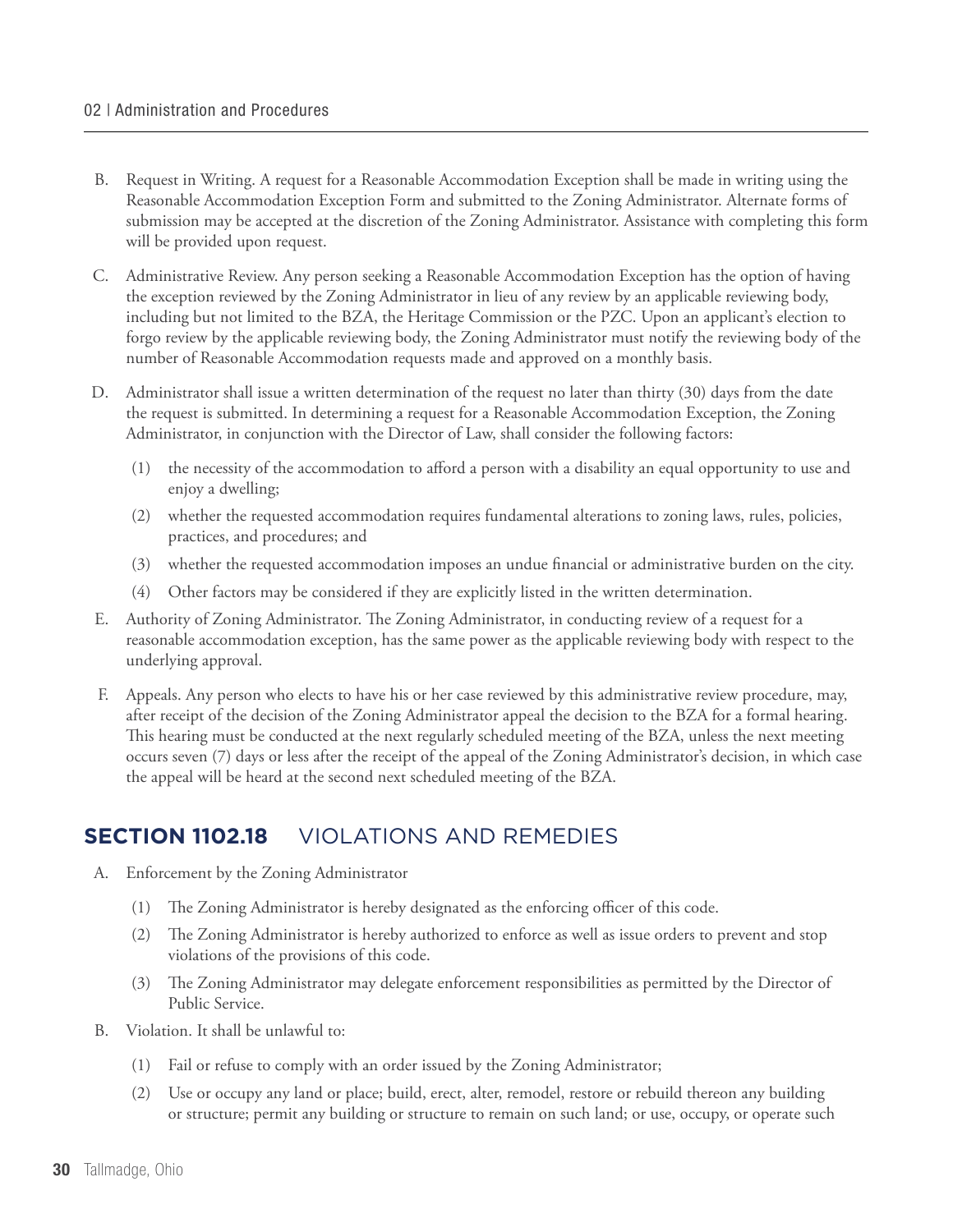- B. Request in Writing. A request for a Reasonable Accommodation Exception shall be made in writing using the Reasonable Accommodation Exception Form and submitted to the Zoning Administrator. Alternate forms of submission may be accepted at the discretion of the Zoning Administrator. Assistance with completing this form will be provided upon request.
- C. Administrative Review. Any person seeking a Reasonable Accommodation Exception has the option of having the exception reviewed by the Zoning Administrator in lieu of any review by an applicable reviewing body, including but not limited to the BZA, the Heritage Commission or the PZC. Upon an applicant's election to forgo review by the applicable reviewing body, the Zoning Administrator must notify the reviewing body of the number of Reasonable Accommodation requests made and approved on a monthly basis.
- D. Administrator shall issue a written determination of the request no later than thirty (30) days from the date the request is submitted. In determining a request for a Reasonable Accommodation Exception, the Zoning Administrator, in conjunction with the Director of Law, shall consider the following factors:
	- (1) the necessity of the accommodation to afford a person with a disability an equal opportunity to use and enjoy a dwelling;
	- (2) whether the requested accommodation requires fundamental alterations to zoning laws, rules, policies, practices, and procedures; and
	- (3) whether the requested accommodation imposes an undue financial or administrative burden on the city.
	- (4) Other factors may be considered if they are explicitly listed in the written determination.
- E. Authority of Zoning Administrator. The Zoning Administrator, in conducting review of a request for a reasonable accommodation exception, has the same power as the applicable reviewing body with respect to the underlying approval.
- F. Appeals. Any person who elects to have his or her case reviewed by this administrative review procedure, may, after receipt of the decision of the Zoning Administrator appeal the decision to the BZA for a formal hearing. This hearing must be conducted at the next regularly scheduled meeting of the BZA, unless the next meeting occurs seven (7) days or less after the receipt of the appeal of the Zoning Administrator's decision, in which case the appeal will be heard at the second next scheduled meeting of the BZA.

#### **Section 1102.18** VIOLATIONS AND REMEDIES

- A. Enforcement by the Zoning Administrator
	- (1) The Zoning Administrator is hereby designated as the enforcing officer of this code.
	- (2) The Zoning Administrator is hereby authorized to enforce as well as issue orders to prevent and stop violations of the provisions of this code.
	- (3) The Zoning Administrator may delegate enforcement responsibilities as permitted by the Director of Public Service.
- B. Violation. It shall be unlawful to:
	- (1) Fail or refuse to comply with an order issued by the Zoning Administrator;
	- (2) Use or occupy any land or place; build, erect, alter, remodel, restore or rebuild thereon any building or structure; permit any building or structure to remain on such land; or use, occupy, or operate such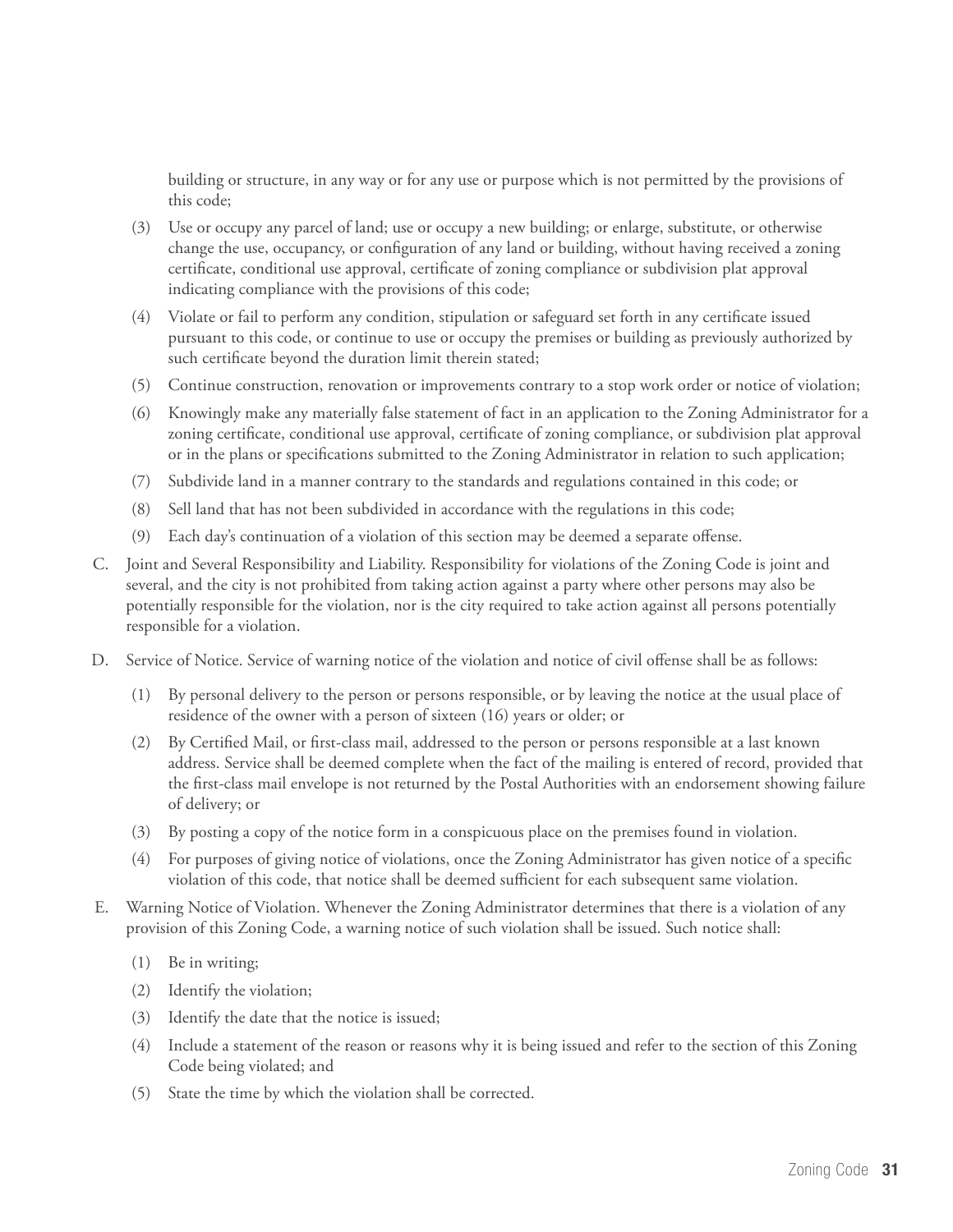building or structure, in any way or for any use or purpose which is not permitted by the provisions of this code;

- (3) Use or occupy any parcel of land; use or occupy a new building; or enlarge, substitute, or otherwise change the use, occupancy, or configuration of any land or building, without having received a zoning certificate, conditional use approval, certificate of zoning compliance or subdivision plat approval indicating compliance with the provisions of this code;
- (4) Violate or fail to perform any condition, stipulation or safeguard set forth in any certificate issued pursuant to this code, or continue to use or occupy the premises or building as previously authorized by such certificate beyond the duration limit therein stated;
- (5) Continue construction, renovation or improvements contrary to a stop work order or notice of violation;
- (6) Knowingly make any materially false statement of fact in an application to the Zoning Administrator for a zoning certificate, conditional use approval, certificate of zoning compliance, or subdivision plat approval or in the plans or specifications submitted to the Zoning Administrator in relation to such application;
- (7) Subdivide land in a manner contrary to the standards and regulations contained in this code; or
- (8) Sell land that has not been subdivided in accordance with the regulations in this code;
- (9) Each day's continuation of a violation of this section may be deemed a separate offense.
- C. Joint and Several Responsibility and Liability. Responsibility for violations of the Zoning Code is joint and several, and the city is not prohibited from taking action against a party where other persons may also be potentially responsible for the violation, nor is the city required to take action against all persons potentially responsible for a violation.
- D. Service of Notice. Service of warning notice of the violation and notice of civil offense shall be as follows:
	- (1) By personal delivery to the person or persons responsible, or by leaving the notice at the usual place of residence of the owner with a person of sixteen (16) years or older; or
	- (2) By Certified Mail, or first-class mail, addressed to the person or persons responsible at a last known address. Service shall be deemed complete when the fact of the mailing is entered of record, provided that the first-class mail envelope is not returned by the Postal Authorities with an endorsement showing failure of delivery; or
	- (3) By posting a copy of the notice form in a conspicuous place on the premises found in violation.
	- (4) For purposes of giving notice of violations, once the Zoning Administrator has given notice of a specific violation of this code, that notice shall be deemed sufficient for each subsequent same violation.
- E. Warning Notice of Violation. Whenever the Zoning Administrator determines that there is a violation of any provision of this Zoning Code, a warning notice of such violation shall be issued. Such notice shall:
	- (1) Be in writing;
	- (2) Identify the violation;
	- (3) Identify the date that the notice is issued;
	- (4) Include a statement of the reason or reasons why it is being issued and refer to the section of this Zoning Code being violated; and
	- (5) State the time by which the violation shall be corrected.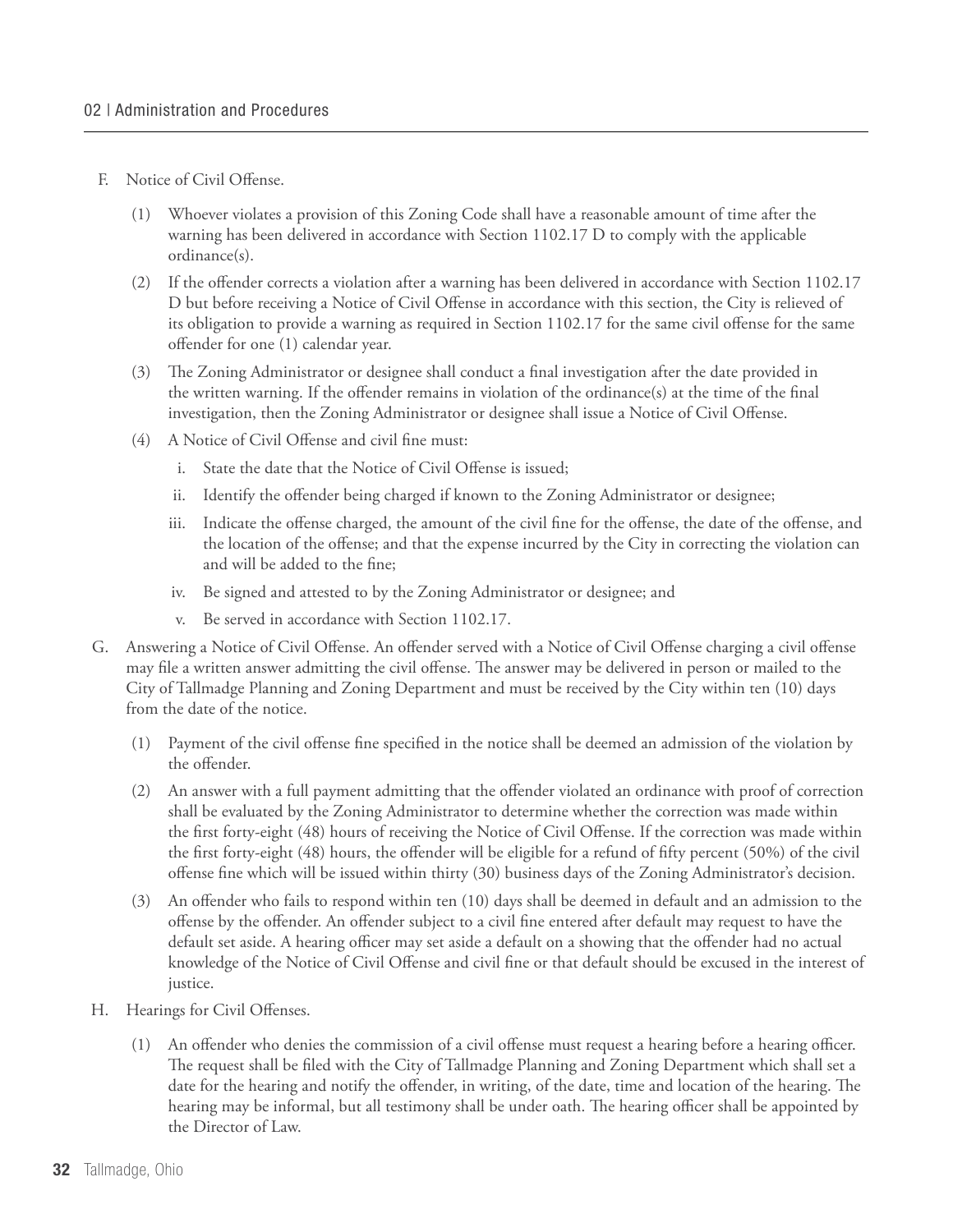- F. Notice of Civil Offense.
	- (1) Whoever violates a provision of this Zoning Code shall have a reasonable amount of time after the warning has been delivered in accordance with Section 1102.17 D to comply with the applicable ordinance(s).
	- (2) If the offender corrects a violation after a warning has been delivered in accordance with Section 1102.17 D but before receiving a Notice of Civil Offense in accordance with this section, the City is relieved of its obligation to provide a warning as required in Section 1102.17 for the same civil offense for the same offender for one (1) calendar year.
	- (3) The Zoning Administrator or designee shall conduct a final investigation after the date provided in the written warning. If the offender remains in violation of the ordinance(s) at the time of the final investigation, then the Zoning Administrator or designee shall issue a Notice of Civil Offense.
	- (4) A Notice of Civil Offense and civil fine must:
		- i. State the date that the Notice of Civil Offense is issued;
		- ii. Identify the offender being charged if known to the Zoning Administrator or designee;
		- iii. Indicate the offense charged, the amount of the civil fine for the offense, the date of the offense, and the location of the offense; and that the expense incurred by the City in correcting the violation can and will be added to the fine;
		- iv. Be signed and attested to by the Zoning Administrator or designee; and
		- v. Be served in accordance with Section 1102.17.
- G. Answering a Notice of Civil Offense. An offender served with a Notice of Civil Offense charging a civil offense may file a written answer admitting the civil offense. The answer may be delivered in person or mailed to the City of Tallmadge Planning and Zoning Department and must be received by the City within ten (10) days from the date of the notice.
	- (1) Payment of the civil offense fine specified in the notice shall be deemed an admission of the violation by the offender.
	- (2) An answer with a full payment admitting that the offender violated an ordinance with proof of correction shall be evaluated by the Zoning Administrator to determine whether the correction was made within the first forty-eight (48) hours of receiving the Notice of Civil Offense. If the correction was made within the first forty-eight (48) hours, the offender will be eligible for a refund of fifty percent (50%) of the civil offense fine which will be issued within thirty (30) business days of the Zoning Administrator's decision.
	- (3) An offender who fails to respond within ten (10) days shall be deemed in default and an admission to the offense by the offender. An offender subject to a civil fine entered after default may request to have the default set aside. A hearing officer may set aside a default on a showing that the offender had no actual knowledge of the Notice of Civil Offense and civil fine or that default should be excused in the interest of justice.
- H. Hearings for Civil Offenses.
	- (1) An offender who denies the commission of a civil offense must request a hearing before a hearing officer. The request shall be filed with the City of Tallmadge Planning and Zoning Department which shall set a date for the hearing and notify the offender, in writing, of the date, time and location of the hearing. The hearing may be informal, but all testimony shall be under oath. The hearing officer shall be appointed by the Director of Law.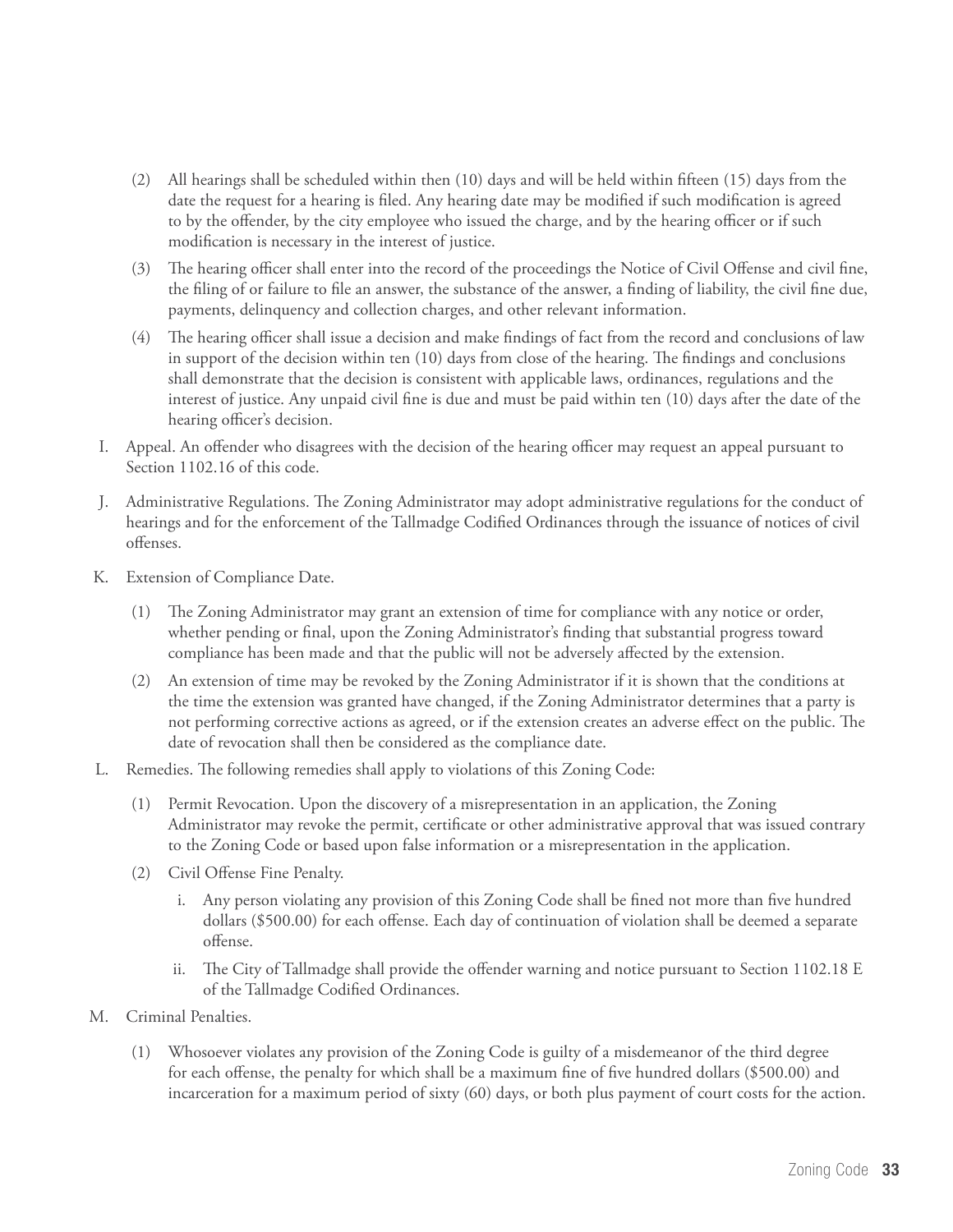- (2) All hearings shall be scheduled within then (10) days and will be held within fifteen (15) days from the date the request for a hearing is filed. Any hearing date may be modified if such modification is agreed to by the offender, by the city employee who issued the charge, and by the hearing officer or if such modification is necessary in the interest of justice.
- (3) The hearing officer shall enter into the record of the proceedings the Notice of Civil Offense and civil fine, the filing of or failure to file an answer, the substance of the answer, a finding of liability, the civil fine due, payments, delinquency and collection charges, and other relevant information.
- (4) The hearing officer shall issue a decision and make findings of fact from the record and conclusions of law in support of the decision within ten (10) days from close of the hearing. The findings and conclusions shall demonstrate that the decision is consistent with applicable laws, ordinances, regulations and the interest of justice. Any unpaid civil fine is due and must be paid within ten (10) days after the date of the hearing officer's decision.
- I. Appeal. An offender who disagrees with the decision of the hearing officer may request an appeal pursuant to Section 1102.16 of this code.
- J. Administrative Regulations. The Zoning Administrator may adopt administrative regulations for the conduct of hearings and for the enforcement of the Tallmadge Codified Ordinances through the issuance of notices of civil offenses.
- K. Extension of Compliance Date.
	- (1) The Zoning Administrator may grant an extension of time for compliance with any notice or order, whether pending or final, upon the Zoning Administrator's finding that substantial progress toward compliance has been made and that the public will not be adversely affected by the extension.
	- (2) An extension of time may be revoked by the Zoning Administrator if it is shown that the conditions at the time the extension was granted have changed, if the Zoning Administrator determines that a party is not performing corrective actions as agreed, or if the extension creates an adverse effect on the public. The date of revocation shall then be considered as the compliance date.
- L. Remedies. The following remedies shall apply to violations of this Zoning Code:
	- (1) Permit Revocation. Upon the discovery of a misrepresentation in an application, the Zoning Administrator may revoke the permit, certificate or other administrative approval that was issued contrary to the Zoning Code or based upon false information or a misrepresentation in the application.
	- (2) Civil Offense Fine Penalty.
		- i. Any person violating any provision of this Zoning Code shall be fined not more than five hundred dollars (\$500.00) for each offense. Each day of continuation of violation shall be deemed a separate offense.
		- ii. The City of Tallmadge shall provide the offender warning and notice pursuant to Section 1102.18 E of the Tallmadge Codified Ordinances.
- M. Criminal Penalties.
	- (1) Whosoever violates any provision of the Zoning Code is guilty of a misdemeanor of the third degree for each offense, the penalty for which shall be a maximum fine of five hundred dollars (\$500.00) and incarceration for a maximum period of sixty (60) days, or both plus payment of court costs for the action.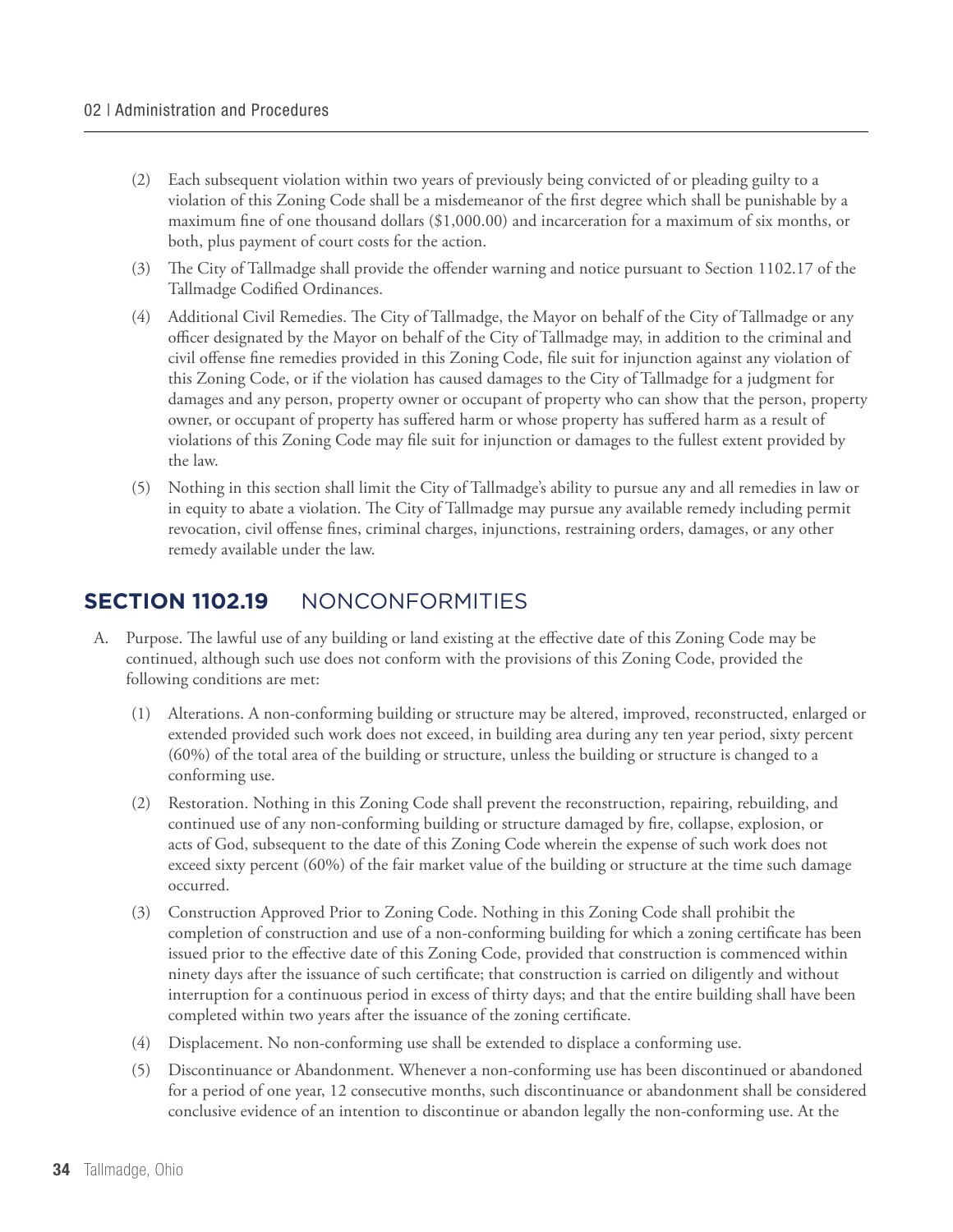- (2) Each subsequent violation within two years of previously being convicted of or pleading guilty to a violation of this Zoning Code shall be a misdemeanor of the first degree which shall be punishable by a maximum fine of one thousand dollars (\$1,000.00) and incarceration for a maximum of six months, or both, plus payment of court costs for the action.
- (3) The City of Tallmadge shall provide the offender warning and notice pursuant to Section 1102.17 of the Tallmadge Codified Ordinances.
- (4) Additional Civil Remedies. The City of Tallmadge, the Mayor on behalf of the City of Tallmadge or any officer designated by the Mayor on behalf of the City of Tallmadge may, in addition to the criminal and civil offense fine remedies provided in this Zoning Code, file suit for injunction against any violation of this Zoning Code, or if the violation has caused damages to the City of Tallmadge for a judgment for damages and any person, property owner or occupant of property who can show that the person, property owner, or occupant of property has suffered harm or whose property has suffered harm as a result of violations of this Zoning Code may file suit for injunction or damages to the fullest extent provided by the law.
- (5) Nothing in this section shall limit the City of Tallmadge's ability to pursue any and all remedies in law or in equity to abate a violation. The City of Tallmadge may pursue any available remedy including permit revocation, civil offense fines, criminal charges, injunctions, restraining orders, damages, or any other remedy available under the law.

#### **Section 1102.19** NONCONFORMITIES

- A. Purpose. The lawful use of any building or land existing at the effective date of this Zoning Code may be continued, although such use does not conform with the provisions of this Zoning Code, provided the following conditions are met:
	- (1) Alterations. A non-conforming building or structure may be altered, improved, reconstructed, enlarged or extended provided such work does not exceed, in building area during any ten year period, sixty percent (60%) of the total area of the building or structure, unless the building or structure is changed to a conforming use.
	- (2) Restoration. Nothing in this Zoning Code shall prevent the reconstruction, repairing, rebuilding, and continued use of any non-conforming building or structure damaged by fire, collapse, explosion, or acts of God, subsequent to the date of this Zoning Code wherein the expense of such work does not exceed sixty percent (60%) of the fair market value of the building or structure at the time such damage occurred.
	- (3) Construction Approved Prior to Zoning Code. Nothing in this Zoning Code shall prohibit the completion of construction and use of a non-conforming building for which a zoning certificate has been issued prior to the effective date of this Zoning Code, provided that construction is commenced within ninety days after the issuance of such certificate; that construction is carried on diligently and without interruption for a continuous period in excess of thirty days; and that the entire building shall have been completed within two years after the issuance of the zoning certificate.
	- (4) Displacement. No non-conforming use shall be extended to displace a conforming use.
	- (5) Discontinuance or Abandonment. Whenever a non-conforming use has been discontinued or abandoned for a period of one year, 12 consecutive months, such discontinuance or abandonment shall be considered conclusive evidence of an intention to discontinue or abandon legally the non-conforming use. At the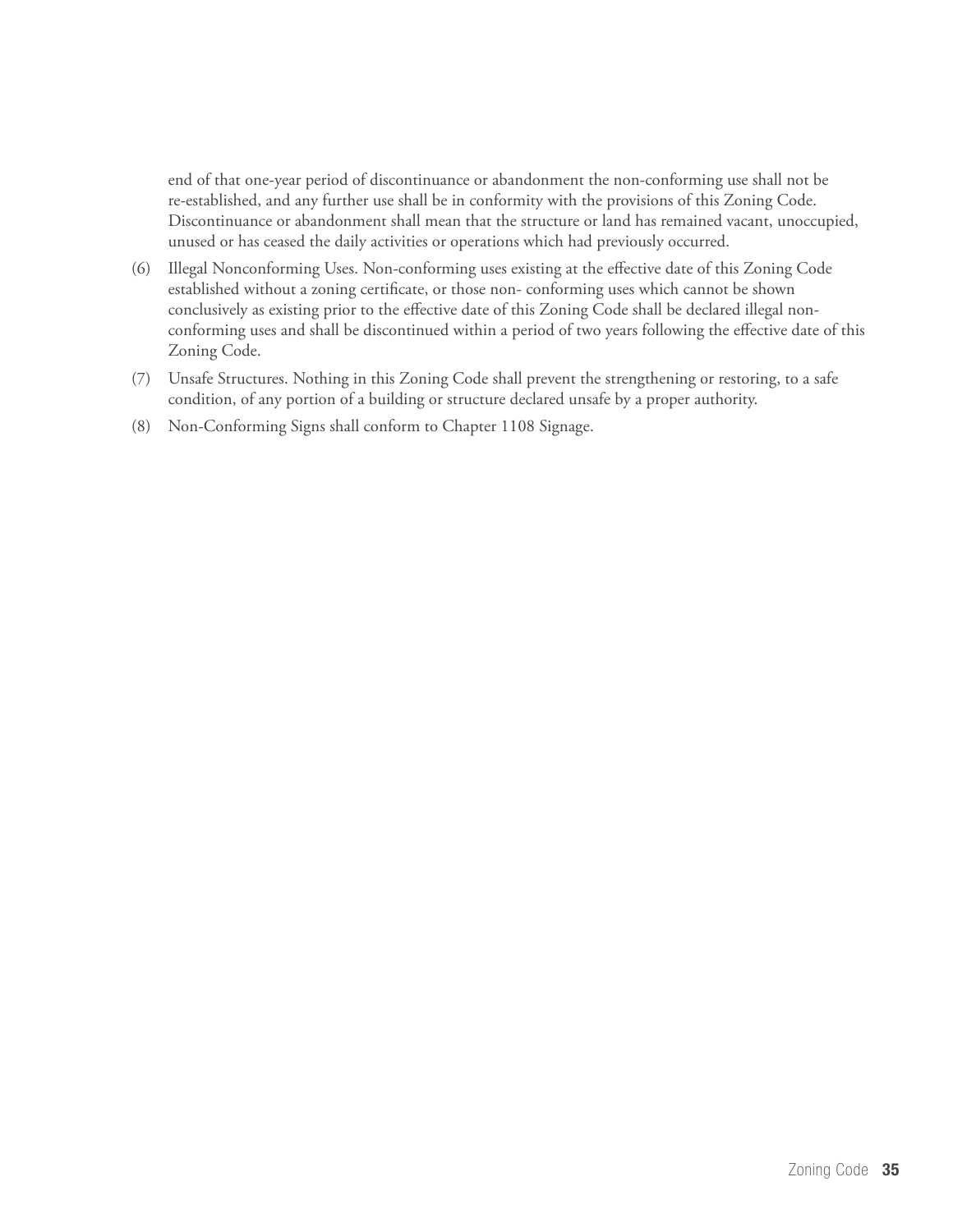end of that one-year period of discontinuance or abandonment the non-conforming use shall not be re-established, and any further use shall be in conformity with the provisions of this Zoning Code. Discontinuance or abandonment shall mean that the structure or land has remained vacant, unoccupied, unused or has ceased the daily activities or operations which had previously occurred.

- (6) Illegal Nonconforming Uses. Non-conforming uses existing at the effective date of this Zoning Code established without a zoning certificate, or those non- conforming uses which cannot be shown conclusively as existing prior to the effective date of this Zoning Code shall be declared illegal nonconforming uses and shall be discontinued within a period of two years following the effective date of this Zoning Code.
- (7) Unsafe Structures. Nothing in this Zoning Code shall prevent the strengthening or restoring, to a safe condition, of any portion of a building or structure declared unsafe by a proper authority.
- (8) Non-Conforming Signs shall conform to Chapter 1108 Signage.